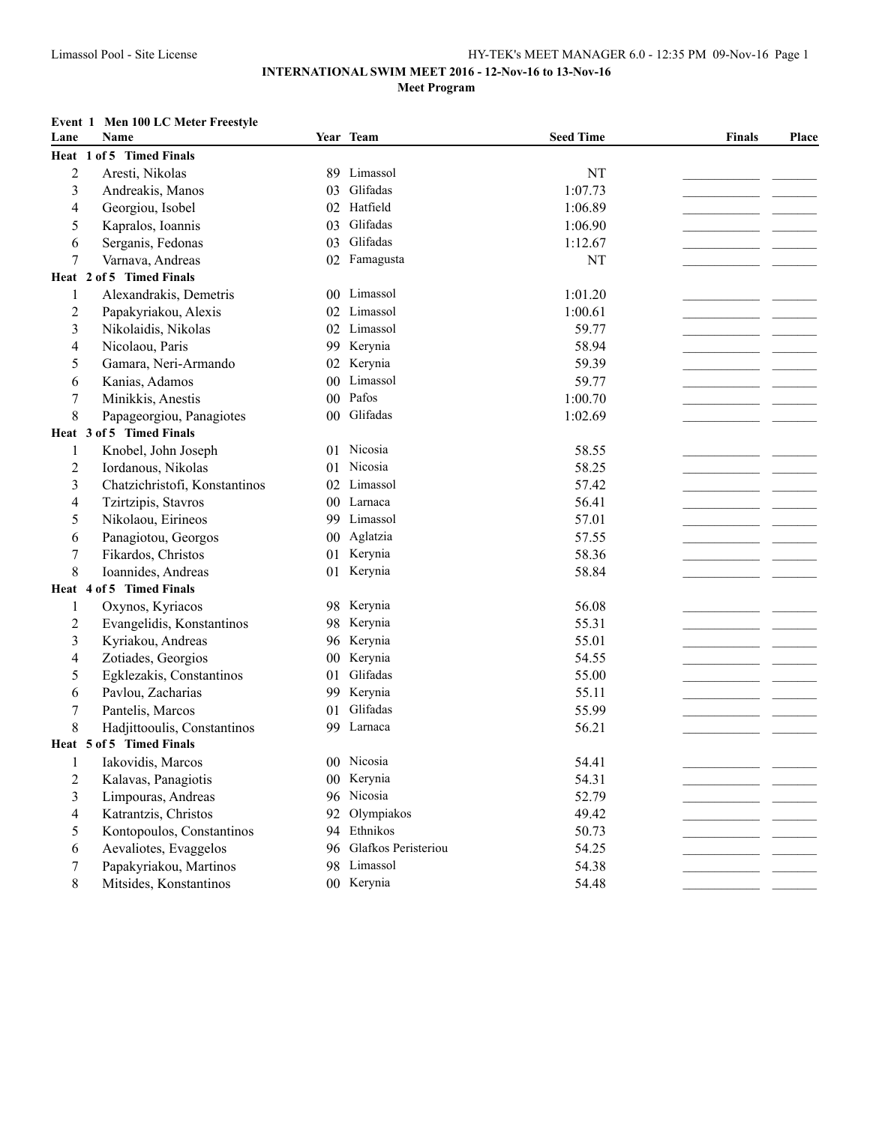### **Event 1 Men 100 LC Meter Freestyle**

| Lane             | Name                          |                 | Year Team              | <b>Seed Time</b> | <b>Finals</b> | Place |
|------------------|-------------------------------|-----------------|------------------------|------------------|---------------|-------|
|                  | Heat 1 of 5 Timed Finals      |                 |                        |                  |               |       |
| $\boldsymbol{2}$ | Aresti, Nikolas               |                 | 89 Limassol            | NT               |               |       |
| 3                | Andreakis, Manos              | 03              | Glifadas               | 1:07.73          |               |       |
| 4                | Georgiou, Isobel              |                 | 02 Hatfield            | 1:06.89          |               |       |
| 5                | Kapralos, Ioannis             | 03              | Glifadas               | 1:06.90          |               |       |
| 6                | Serganis, Fedonas             | 03              | Glifadas               | 1:12.67          |               |       |
| 7                | Varnava, Andreas              | 02              | Famagusta              | NT               |               |       |
|                  | Heat 2 of 5 Timed Finals      |                 |                        |                  |               |       |
| 1                | Alexandrakis, Demetris        |                 | 00 Limassol            | 1:01.20          |               |       |
| 2                | Papakyriakou, Alexis          |                 | 02 Limassol            | 1:00.61          |               |       |
| 3                | Nikolaidis, Nikolas           |                 | 02 Limassol            | 59.77            |               |       |
| 4                | Nicolaou, Paris               |                 | 99 Kerynia             | 58.94            |               |       |
| 5                | Gamara, Neri-Armando          | 02              | Kerynia                | 59.39            |               |       |
| 6                | Kanias, Adamos                |                 | 00 Limassol            | 59.77            |               |       |
| 7                | Minikkis, Anestis             | $00\,$          | Pafos                  | 1:00.70          |               |       |
| 8                | Papageorgiou, Panagiotes      | 00 <sup>°</sup> | Glifadas               | 1:02.69          |               |       |
|                  | Heat 3 of 5 Timed Finals      |                 |                        |                  |               |       |
| 1                | Knobel, John Joseph           | 01              | Nicosia                | 58.55            |               |       |
| $\overline{c}$   | Iordanous, Nikolas            | 01              | Nicosia                | 58.25            |               |       |
| 3                | Chatzichristofi, Konstantinos |                 | 02 Limassol            | 57.42            |               |       |
| 4                | Tzirtzipis, Stavros           |                 | 00 Larnaca             | 56.41            |               |       |
| 5                | Nikolaou, Eirineos            |                 | 99 Limassol            | 57.01            |               |       |
| 6                | Panagiotou, Georgos           |                 | 00 Aglatzia            | 57.55            |               |       |
| $\boldsymbol{7}$ | Fikardos, Christos            |                 | 01 Kerynia             | 58.36            |               |       |
| 8                | Ioannides, Andreas            |                 | 01 Kerynia             | 58.84            |               |       |
|                  | Heat 4 of 5 Timed Finals      |                 |                        |                  |               |       |
| 1                | Oxynos, Kyriacos              |                 | 98 Kerynia             | 56.08            |               |       |
| $\overline{2}$   | Evangelidis, Konstantinos     |                 | 98 Kerynia             | 55.31            |               |       |
| 3                | Kyriakou, Andreas             |                 | 96 Kerynia             | 55.01            |               |       |
| 4                | Zotiades, Georgios            |                 | 00 Kerynia             | 54.55            |               |       |
| 5                | Egklezakis, Constantinos      | 01              | Glifadas               | 55.00            |               |       |
| 6                | Pavlou, Zacharias             |                 | 99 Kerynia             | 55.11            |               |       |
| $\boldsymbol{7}$ | Pantelis, Marcos              | 01              | Glifadas               | 55.99            |               |       |
| 8                | Hadjittooulis, Constantinos   | 99              | Larnaca                | 56.21            |               |       |
|                  | Heat 5 of 5 Timed Finals      |                 |                        |                  |               |       |
|                  | Iakovidis, Marcos             |                 | 00 Nicosia             | 54.41            |               |       |
| $\overline{c}$   | Kalavas, Panagiotis           |                 | 00 Kerynia             | 54.31            |               |       |
| 3                | Limpouras, Andreas            |                 | 96 Nicosia             | 52.79            |               |       |
| 4                | Katrantzis, Christos          | 92              | Olympiakos             | 49.42            |               |       |
| 5                | Kontopoulos, Constantinos     |                 | 94 Ethnikos            | 50.73            |               |       |
| 6                | Aevaliotes, Evaggelos         |                 | 96 Glafkos Peristeriou | 54.25            |               |       |
| 7                | Papakyriakou, Martinos        |                 | 98 Limassol            | 54.38            |               |       |
| 8                | Mitsides, Konstantinos        |                 | 00 Kerynia             | 54.48            |               |       |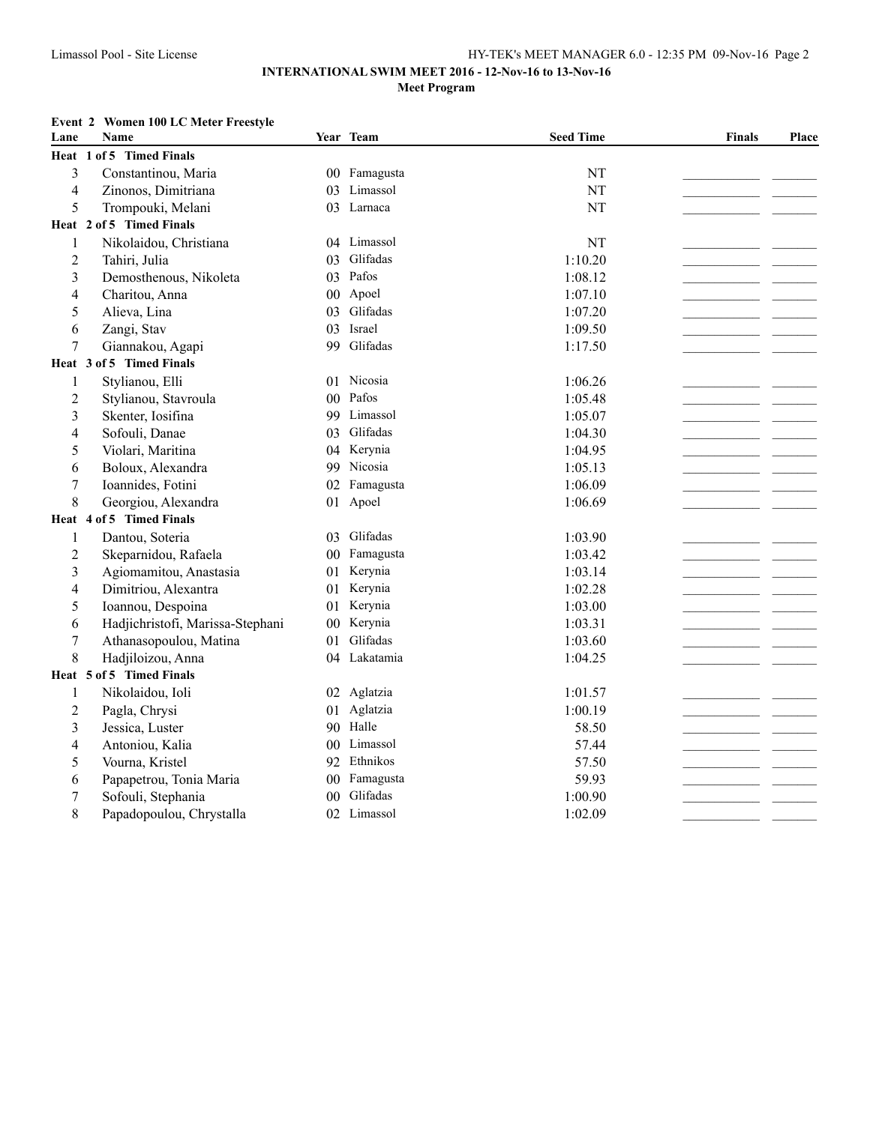### **INTERNATIONAL SWIM MEET 2016 - 12-Nov-16 to 13-Nov-16 Meet Program**

### **Event 2 Women 100 LC Meter Freestyle**

| Heat 1 of 5 Timed Finals<br>3<br>Constantinou, Maria<br>NT<br>Famagusta<br>$00\,$<br>NT<br>$\overline{4}$<br>Zinonos, Dimitriana<br>Limassol<br>03<br>5<br>Trompouki, Melani<br>03 Larnaca<br>NT<br>Heat 2 of 5 Timed Finals<br>Nikolaidou, Christiana<br>04 Limassol<br>NT<br>$\mathbf{1}$<br>Glifadas<br>$\overline{2}$<br>1:10.20<br>Tahiri, Julia<br>03<br>Pafos<br>$\overline{\mathbf{3}}$<br>1:08.12<br>Demosthenous, Nikoleta<br>03<br>Apoel<br>Charitou, Anna<br>1:07.10<br>4<br>$00\,$<br>Glifadas<br>5<br>Alieva, Lina<br>1:07.20<br>03<br>Israel<br>Zangi, Stav<br>6<br>03<br>1:09.50<br>Glifadas<br>Giannakou, Agapi<br>7<br>99<br>1:17.50<br>Heat 3 of 5 Timed Finals<br>Nicosia<br>Stylianou, Elli<br>1:06.26<br>1<br>01<br>Pafos<br>1:05.48<br>$\overline{c}$<br>Stylianou, Stavroula<br>0 <sub>0</sub><br>Limassol<br>3<br>Skenter, Iosifina<br>1:05.07<br>99<br>Glifadas<br>Sofouli, Danae<br>1:04.30<br>4<br>03<br>Kerynia<br>5<br>Violari, Maritina<br>1:04.95<br>04<br>99 Nicosia<br>Boloux, Alexandra<br>1:05.13<br>6<br>$\tau$<br>Ioannides, Fotini<br>02 Famagusta<br>1:06.09<br>8<br>Georgiou, Alexandra<br>01 Apoel<br>1:06.69<br>Heat 4 of 5 Timed Finals<br>Dantou, Soteria<br>03 Glifadas<br>1:03.90<br>1<br>00 Famagusta<br>$\overline{2}$<br>Skeparnidou, Rafaela<br>1:03.42<br>Kerynia<br>3<br>Agiomamitou, Anastasia<br>1:03.14<br>01.<br>Kerynia<br>Dimitriou, Alexantra<br>1:02.28<br>4<br>01<br>Kerynia<br>1:03.00<br>5<br>Ioannou, Despoina<br>01<br>Kerynia<br>Hadjichristofi, Marissa-Stephani<br>1:03.31<br>6<br>$00\,$<br>Glifadas<br>$\tau$<br>Athanasopoulou, Matina<br>1:03.60<br>0 <sub>1</sub><br>04 Lakatamia<br>8<br>Hadjiloizou, Anna<br>1:04.25<br>Heat 5 of 5 Timed Finals<br>Nikolaidou, Ioli<br>02 Aglatzia<br>1:01.57<br>$\mathbf{1}$<br>$\overline{2}$<br>Pagla, Chrysi<br>01 Aglatzia<br>1:00.19<br>90 Halle<br>$\overline{\mathbf{3}}$<br>Jessica, Luster<br>58.50<br>Limassol<br>Antoniou, Kalia<br>0 <sub>0</sub><br>57.44<br>4<br>92 Ethnikos<br>57.50<br>5<br>Vourna, Kristel<br>Famagusta<br>Papapetrou, Tonia Maria<br>59.93<br>6<br>$00\,$<br>Glifadas<br>Sofouli, Stephania<br>1:00.90<br>7<br>00<br>Limassol<br>8<br>Papadopoulou, Chrystalla<br>1:02.09<br>02 | Lane | <b>Name</b> | Year Team | <b>Seed Time</b> | <b>Finals</b> | Place |
|---------------------------------------------------------------------------------------------------------------------------------------------------------------------------------------------------------------------------------------------------------------------------------------------------------------------------------------------------------------------------------------------------------------------------------------------------------------------------------------------------------------------------------------------------------------------------------------------------------------------------------------------------------------------------------------------------------------------------------------------------------------------------------------------------------------------------------------------------------------------------------------------------------------------------------------------------------------------------------------------------------------------------------------------------------------------------------------------------------------------------------------------------------------------------------------------------------------------------------------------------------------------------------------------------------------------------------------------------------------------------------------------------------------------------------------------------------------------------------------------------------------------------------------------------------------------------------------------------------------------------------------------------------------------------------------------------------------------------------------------------------------------------------------------------------------------------------------------------------------------------------------------------------------------------------------------------------------------------------------------------------------------------------------------------------------------------------------------------------------------------------------------------------------------------------------------------------------------------------|------|-------------|-----------|------------------|---------------|-------|
|                                                                                                                                                                                                                                                                                                                                                                                                                                                                                                                                                                                                                                                                                                                                                                                                                                                                                                                                                                                                                                                                                                                                                                                                                                                                                                                                                                                                                                                                                                                                                                                                                                                                                                                                                                                                                                                                                                                                                                                                                                                                                                                                                                                                                                 |      |             |           |                  |               |       |
|                                                                                                                                                                                                                                                                                                                                                                                                                                                                                                                                                                                                                                                                                                                                                                                                                                                                                                                                                                                                                                                                                                                                                                                                                                                                                                                                                                                                                                                                                                                                                                                                                                                                                                                                                                                                                                                                                                                                                                                                                                                                                                                                                                                                                                 |      |             |           |                  |               |       |
|                                                                                                                                                                                                                                                                                                                                                                                                                                                                                                                                                                                                                                                                                                                                                                                                                                                                                                                                                                                                                                                                                                                                                                                                                                                                                                                                                                                                                                                                                                                                                                                                                                                                                                                                                                                                                                                                                                                                                                                                                                                                                                                                                                                                                                 |      |             |           |                  |               |       |
|                                                                                                                                                                                                                                                                                                                                                                                                                                                                                                                                                                                                                                                                                                                                                                                                                                                                                                                                                                                                                                                                                                                                                                                                                                                                                                                                                                                                                                                                                                                                                                                                                                                                                                                                                                                                                                                                                                                                                                                                                                                                                                                                                                                                                                 |      |             |           |                  |               |       |
|                                                                                                                                                                                                                                                                                                                                                                                                                                                                                                                                                                                                                                                                                                                                                                                                                                                                                                                                                                                                                                                                                                                                                                                                                                                                                                                                                                                                                                                                                                                                                                                                                                                                                                                                                                                                                                                                                                                                                                                                                                                                                                                                                                                                                                 |      |             |           |                  |               |       |
|                                                                                                                                                                                                                                                                                                                                                                                                                                                                                                                                                                                                                                                                                                                                                                                                                                                                                                                                                                                                                                                                                                                                                                                                                                                                                                                                                                                                                                                                                                                                                                                                                                                                                                                                                                                                                                                                                                                                                                                                                                                                                                                                                                                                                                 |      |             |           |                  |               |       |
|                                                                                                                                                                                                                                                                                                                                                                                                                                                                                                                                                                                                                                                                                                                                                                                                                                                                                                                                                                                                                                                                                                                                                                                                                                                                                                                                                                                                                                                                                                                                                                                                                                                                                                                                                                                                                                                                                                                                                                                                                                                                                                                                                                                                                                 |      |             |           |                  |               |       |
|                                                                                                                                                                                                                                                                                                                                                                                                                                                                                                                                                                                                                                                                                                                                                                                                                                                                                                                                                                                                                                                                                                                                                                                                                                                                                                                                                                                                                                                                                                                                                                                                                                                                                                                                                                                                                                                                                                                                                                                                                                                                                                                                                                                                                                 |      |             |           |                  |               |       |
|                                                                                                                                                                                                                                                                                                                                                                                                                                                                                                                                                                                                                                                                                                                                                                                                                                                                                                                                                                                                                                                                                                                                                                                                                                                                                                                                                                                                                                                                                                                                                                                                                                                                                                                                                                                                                                                                                                                                                                                                                                                                                                                                                                                                                                 |      |             |           |                  |               |       |
|                                                                                                                                                                                                                                                                                                                                                                                                                                                                                                                                                                                                                                                                                                                                                                                                                                                                                                                                                                                                                                                                                                                                                                                                                                                                                                                                                                                                                                                                                                                                                                                                                                                                                                                                                                                                                                                                                                                                                                                                                                                                                                                                                                                                                                 |      |             |           |                  |               |       |
|                                                                                                                                                                                                                                                                                                                                                                                                                                                                                                                                                                                                                                                                                                                                                                                                                                                                                                                                                                                                                                                                                                                                                                                                                                                                                                                                                                                                                                                                                                                                                                                                                                                                                                                                                                                                                                                                                                                                                                                                                                                                                                                                                                                                                                 |      |             |           |                  |               |       |
|                                                                                                                                                                                                                                                                                                                                                                                                                                                                                                                                                                                                                                                                                                                                                                                                                                                                                                                                                                                                                                                                                                                                                                                                                                                                                                                                                                                                                                                                                                                                                                                                                                                                                                                                                                                                                                                                                                                                                                                                                                                                                                                                                                                                                                 |      |             |           |                  |               |       |
|                                                                                                                                                                                                                                                                                                                                                                                                                                                                                                                                                                                                                                                                                                                                                                                                                                                                                                                                                                                                                                                                                                                                                                                                                                                                                                                                                                                                                                                                                                                                                                                                                                                                                                                                                                                                                                                                                                                                                                                                                                                                                                                                                                                                                                 |      |             |           |                  |               |       |
|                                                                                                                                                                                                                                                                                                                                                                                                                                                                                                                                                                                                                                                                                                                                                                                                                                                                                                                                                                                                                                                                                                                                                                                                                                                                                                                                                                                                                                                                                                                                                                                                                                                                                                                                                                                                                                                                                                                                                                                                                                                                                                                                                                                                                                 |      |             |           |                  |               |       |
|                                                                                                                                                                                                                                                                                                                                                                                                                                                                                                                                                                                                                                                                                                                                                                                                                                                                                                                                                                                                                                                                                                                                                                                                                                                                                                                                                                                                                                                                                                                                                                                                                                                                                                                                                                                                                                                                                                                                                                                                                                                                                                                                                                                                                                 |      |             |           |                  |               |       |
|                                                                                                                                                                                                                                                                                                                                                                                                                                                                                                                                                                                                                                                                                                                                                                                                                                                                                                                                                                                                                                                                                                                                                                                                                                                                                                                                                                                                                                                                                                                                                                                                                                                                                                                                                                                                                                                                                                                                                                                                                                                                                                                                                                                                                                 |      |             |           |                  |               |       |
|                                                                                                                                                                                                                                                                                                                                                                                                                                                                                                                                                                                                                                                                                                                                                                                                                                                                                                                                                                                                                                                                                                                                                                                                                                                                                                                                                                                                                                                                                                                                                                                                                                                                                                                                                                                                                                                                                                                                                                                                                                                                                                                                                                                                                                 |      |             |           |                  |               |       |
|                                                                                                                                                                                                                                                                                                                                                                                                                                                                                                                                                                                                                                                                                                                                                                                                                                                                                                                                                                                                                                                                                                                                                                                                                                                                                                                                                                                                                                                                                                                                                                                                                                                                                                                                                                                                                                                                                                                                                                                                                                                                                                                                                                                                                                 |      |             |           |                  |               |       |
|                                                                                                                                                                                                                                                                                                                                                                                                                                                                                                                                                                                                                                                                                                                                                                                                                                                                                                                                                                                                                                                                                                                                                                                                                                                                                                                                                                                                                                                                                                                                                                                                                                                                                                                                                                                                                                                                                                                                                                                                                                                                                                                                                                                                                                 |      |             |           |                  |               |       |
|                                                                                                                                                                                                                                                                                                                                                                                                                                                                                                                                                                                                                                                                                                                                                                                                                                                                                                                                                                                                                                                                                                                                                                                                                                                                                                                                                                                                                                                                                                                                                                                                                                                                                                                                                                                                                                                                                                                                                                                                                                                                                                                                                                                                                                 |      |             |           |                  |               |       |
|                                                                                                                                                                                                                                                                                                                                                                                                                                                                                                                                                                                                                                                                                                                                                                                                                                                                                                                                                                                                                                                                                                                                                                                                                                                                                                                                                                                                                                                                                                                                                                                                                                                                                                                                                                                                                                                                                                                                                                                                                                                                                                                                                                                                                                 |      |             |           |                  |               |       |
|                                                                                                                                                                                                                                                                                                                                                                                                                                                                                                                                                                                                                                                                                                                                                                                                                                                                                                                                                                                                                                                                                                                                                                                                                                                                                                                                                                                                                                                                                                                                                                                                                                                                                                                                                                                                                                                                                                                                                                                                                                                                                                                                                                                                                                 |      |             |           |                  |               |       |
|                                                                                                                                                                                                                                                                                                                                                                                                                                                                                                                                                                                                                                                                                                                                                                                                                                                                                                                                                                                                                                                                                                                                                                                                                                                                                                                                                                                                                                                                                                                                                                                                                                                                                                                                                                                                                                                                                                                                                                                                                                                                                                                                                                                                                                 |      |             |           |                  |               |       |
|                                                                                                                                                                                                                                                                                                                                                                                                                                                                                                                                                                                                                                                                                                                                                                                                                                                                                                                                                                                                                                                                                                                                                                                                                                                                                                                                                                                                                                                                                                                                                                                                                                                                                                                                                                                                                                                                                                                                                                                                                                                                                                                                                                                                                                 |      |             |           |                  |               |       |
|                                                                                                                                                                                                                                                                                                                                                                                                                                                                                                                                                                                                                                                                                                                                                                                                                                                                                                                                                                                                                                                                                                                                                                                                                                                                                                                                                                                                                                                                                                                                                                                                                                                                                                                                                                                                                                                                                                                                                                                                                                                                                                                                                                                                                                 |      |             |           |                  |               |       |
|                                                                                                                                                                                                                                                                                                                                                                                                                                                                                                                                                                                                                                                                                                                                                                                                                                                                                                                                                                                                                                                                                                                                                                                                                                                                                                                                                                                                                                                                                                                                                                                                                                                                                                                                                                                                                                                                                                                                                                                                                                                                                                                                                                                                                                 |      |             |           |                  |               |       |
|                                                                                                                                                                                                                                                                                                                                                                                                                                                                                                                                                                                                                                                                                                                                                                                                                                                                                                                                                                                                                                                                                                                                                                                                                                                                                                                                                                                                                                                                                                                                                                                                                                                                                                                                                                                                                                                                                                                                                                                                                                                                                                                                                                                                                                 |      |             |           |                  |               |       |
|                                                                                                                                                                                                                                                                                                                                                                                                                                                                                                                                                                                                                                                                                                                                                                                                                                                                                                                                                                                                                                                                                                                                                                                                                                                                                                                                                                                                                                                                                                                                                                                                                                                                                                                                                                                                                                                                                                                                                                                                                                                                                                                                                                                                                                 |      |             |           |                  |               |       |
|                                                                                                                                                                                                                                                                                                                                                                                                                                                                                                                                                                                                                                                                                                                                                                                                                                                                                                                                                                                                                                                                                                                                                                                                                                                                                                                                                                                                                                                                                                                                                                                                                                                                                                                                                                                                                                                                                                                                                                                                                                                                                                                                                                                                                                 |      |             |           |                  |               |       |
|                                                                                                                                                                                                                                                                                                                                                                                                                                                                                                                                                                                                                                                                                                                                                                                                                                                                                                                                                                                                                                                                                                                                                                                                                                                                                                                                                                                                                                                                                                                                                                                                                                                                                                                                                                                                                                                                                                                                                                                                                                                                                                                                                                                                                                 |      |             |           |                  |               |       |
|                                                                                                                                                                                                                                                                                                                                                                                                                                                                                                                                                                                                                                                                                                                                                                                                                                                                                                                                                                                                                                                                                                                                                                                                                                                                                                                                                                                                                                                                                                                                                                                                                                                                                                                                                                                                                                                                                                                                                                                                                                                                                                                                                                                                                                 |      |             |           |                  |               |       |
|                                                                                                                                                                                                                                                                                                                                                                                                                                                                                                                                                                                                                                                                                                                                                                                                                                                                                                                                                                                                                                                                                                                                                                                                                                                                                                                                                                                                                                                                                                                                                                                                                                                                                                                                                                                                                                                                                                                                                                                                                                                                                                                                                                                                                                 |      |             |           |                  |               |       |
|                                                                                                                                                                                                                                                                                                                                                                                                                                                                                                                                                                                                                                                                                                                                                                                                                                                                                                                                                                                                                                                                                                                                                                                                                                                                                                                                                                                                                                                                                                                                                                                                                                                                                                                                                                                                                                                                                                                                                                                                                                                                                                                                                                                                                                 |      |             |           |                  |               |       |
|                                                                                                                                                                                                                                                                                                                                                                                                                                                                                                                                                                                                                                                                                                                                                                                                                                                                                                                                                                                                                                                                                                                                                                                                                                                                                                                                                                                                                                                                                                                                                                                                                                                                                                                                                                                                                                                                                                                                                                                                                                                                                                                                                                                                                                 |      |             |           |                  |               |       |
|                                                                                                                                                                                                                                                                                                                                                                                                                                                                                                                                                                                                                                                                                                                                                                                                                                                                                                                                                                                                                                                                                                                                                                                                                                                                                                                                                                                                                                                                                                                                                                                                                                                                                                                                                                                                                                                                                                                                                                                                                                                                                                                                                                                                                                 |      |             |           |                  |               |       |
|                                                                                                                                                                                                                                                                                                                                                                                                                                                                                                                                                                                                                                                                                                                                                                                                                                                                                                                                                                                                                                                                                                                                                                                                                                                                                                                                                                                                                                                                                                                                                                                                                                                                                                                                                                                                                                                                                                                                                                                                                                                                                                                                                                                                                                 |      |             |           |                  |               |       |
|                                                                                                                                                                                                                                                                                                                                                                                                                                                                                                                                                                                                                                                                                                                                                                                                                                                                                                                                                                                                                                                                                                                                                                                                                                                                                                                                                                                                                                                                                                                                                                                                                                                                                                                                                                                                                                                                                                                                                                                                                                                                                                                                                                                                                                 |      |             |           |                  |               |       |
|                                                                                                                                                                                                                                                                                                                                                                                                                                                                                                                                                                                                                                                                                                                                                                                                                                                                                                                                                                                                                                                                                                                                                                                                                                                                                                                                                                                                                                                                                                                                                                                                                                                                                                                                                                                                                                                                                                                                                                                                                                                                                                                                                                                                                                 |      |             |           |                  |               |       |
|                                                                                                                                                                                                                                                                                                                                                                                                                                                                                                                                                                                                                                                                                                                                                                                                                                                                                                                                                                                                                                                                                                                                                                                                                                                                                                                                                                                                                                                                                                                                                                                                                                                                                                                                                                                                                                                                                                                                                                                                                                                                                                                                                                                                                                 |      |             |           |                  |               |       |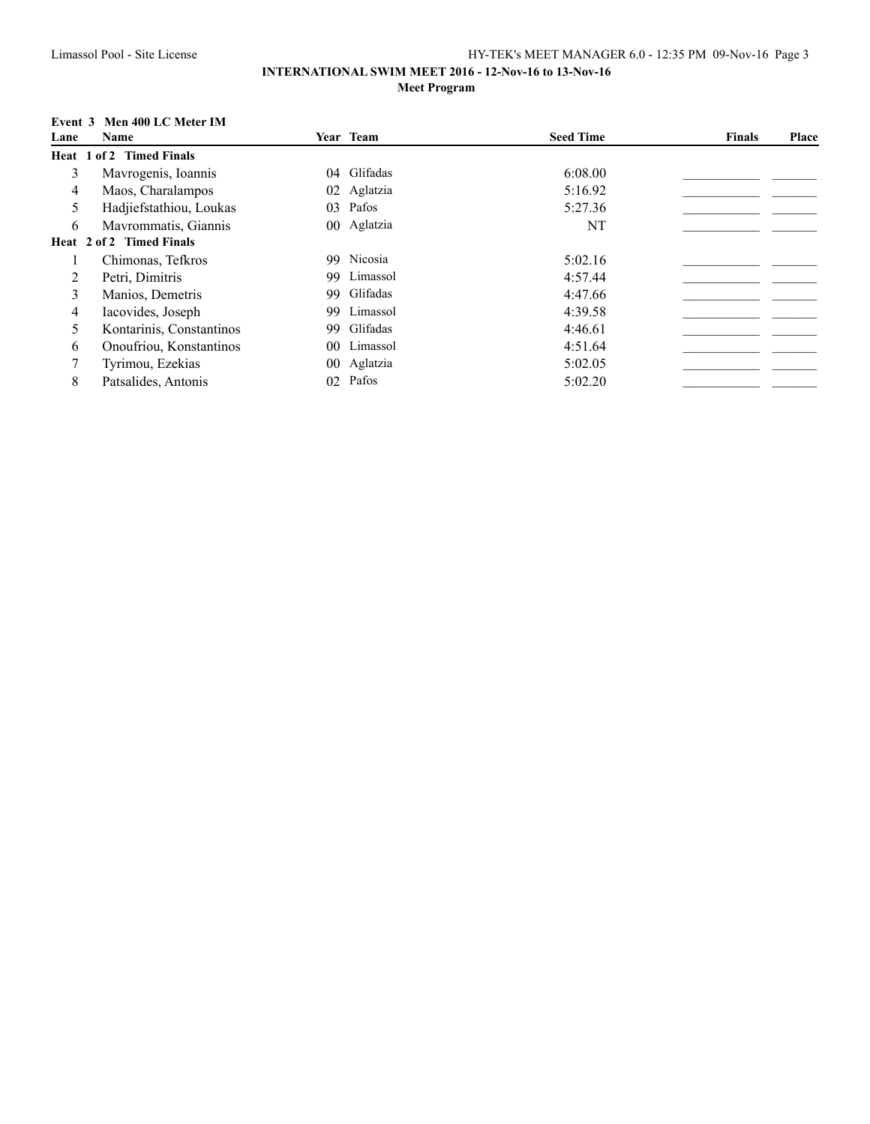### **INTERNATIONAL SWIM MEET 2016 - 12-Nov-16 to 13-Nov-16 Meet Program**

## **Event 3 Men 400 LC Meter IM**

| Lane | Name                     |                 | Year Team   | <b>Seed Time</b> | <b>Finals</b> | Place |
|------|--------------------------|-----------------|-------------|------------------|---------------|-------|
|      | Heat 1 of 2 Timed Finals |                 |             |                  |               |       |
| 3    | Mayrogenis, Ioannis      |                 | 04 Glifadas | 6:08.00          |               |       |
| 4    | Maos, Charalampos        |                 | 02 Aglatzia | 5:16.92          |               |       |
| 5    | Hadjiefstathiou, Loukas  | 03              | Pafos       | 5:27.36          |               |       |
| 6    | Mayrommatis, Giannis     |                 | 00 Aglatzia | NT               |               |       |
|      | Heat 2 of 2 Timed Finals |                 |             |                  |               |       |
|      | Chimonas, Tefkros        |                 | 99 Nicosia  | 5:02.16          |               |       |
| 2    | Petri, Dimitris          |                 | 99 Limassol | 4:57.44          |               |       |
| 3    | Manios, Demetris         |                 | 99 Glifadas | 4:47.66          |               |       |
| 4    | Iacovides, Joseph        |                 | 99 Limassol | 4:39.58          |               |       |
| 5    | Kontarinis, Constantinos |                 | 99 Glifadas | 4:46.61          |               |       |
| 6    | Onoufriou, Konstantinos  |                 | 00 Limassol | 4:51.64          |               |       |
|      | Tyrimou, Ezekias         |                 | 00 Aglatzia | 5:02.05          |               |       |
| 8    | Patsalides, Antonis      | 02 <sup>2</sup> | Pafos       | 5:02.20          |               |       |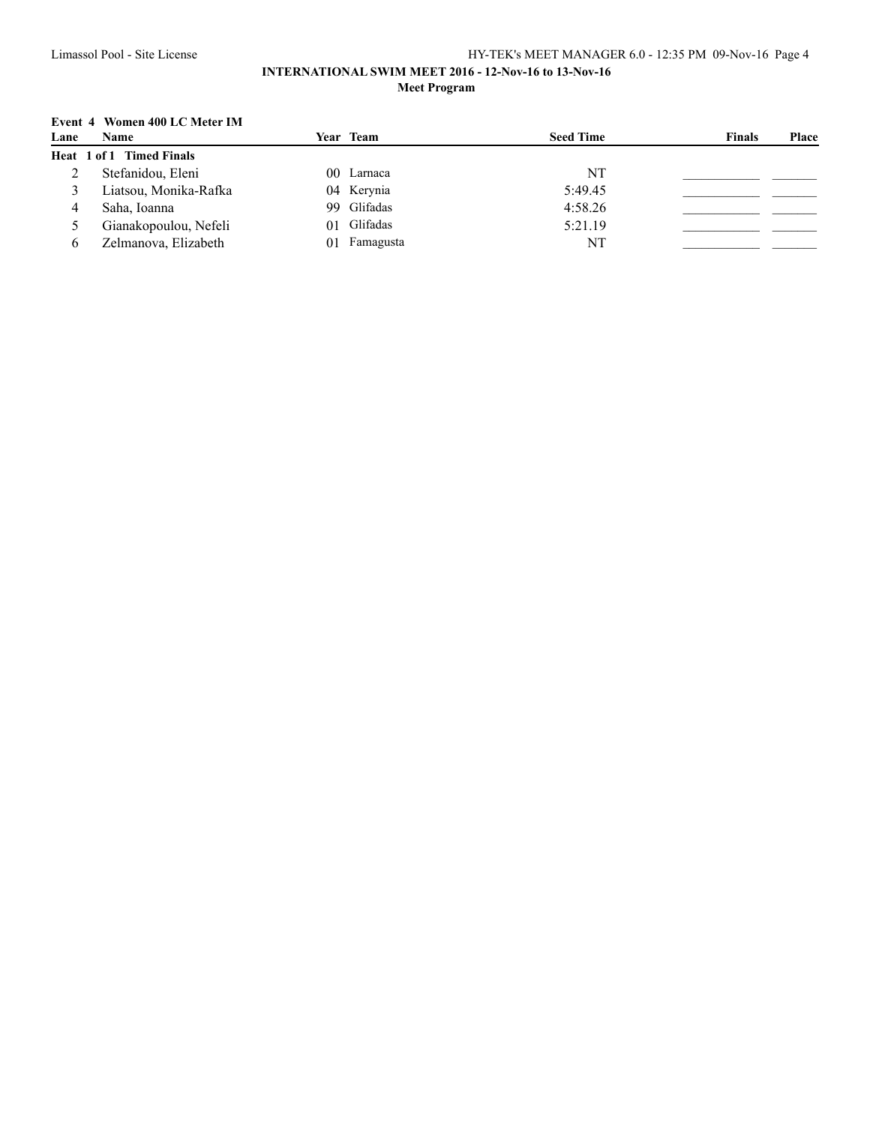# **Event 4 Women 400 LC Meter IM**

| Lane | Name                     | <b>Year Team</b> | <b>Seed Time</b> | <b>Finals</b> | Place |
|------|--------------------------|------------------|------------------|---------------|-------|
|      | Heat 1 of 1 Timed Finals |                  |                  |               |       |
|      | Stefanidou, Eleni        | 00 Larnaca       | NT               |               |       |
|      | Liatsou, Monika-Rafka    | 04 Kerynia       | 5:49.45          |               |       |
|      | Saha, Ioanna             | 99 Glifadas      | 4:58.26          |               |       |
|      | Gianakopoulou, Nefeli    | 01 Glifadas      | 5:21.19          |               |       |
| h.   | Zelmanova, Elizabeth     | Famagusta<br>01  | NT               |               |       |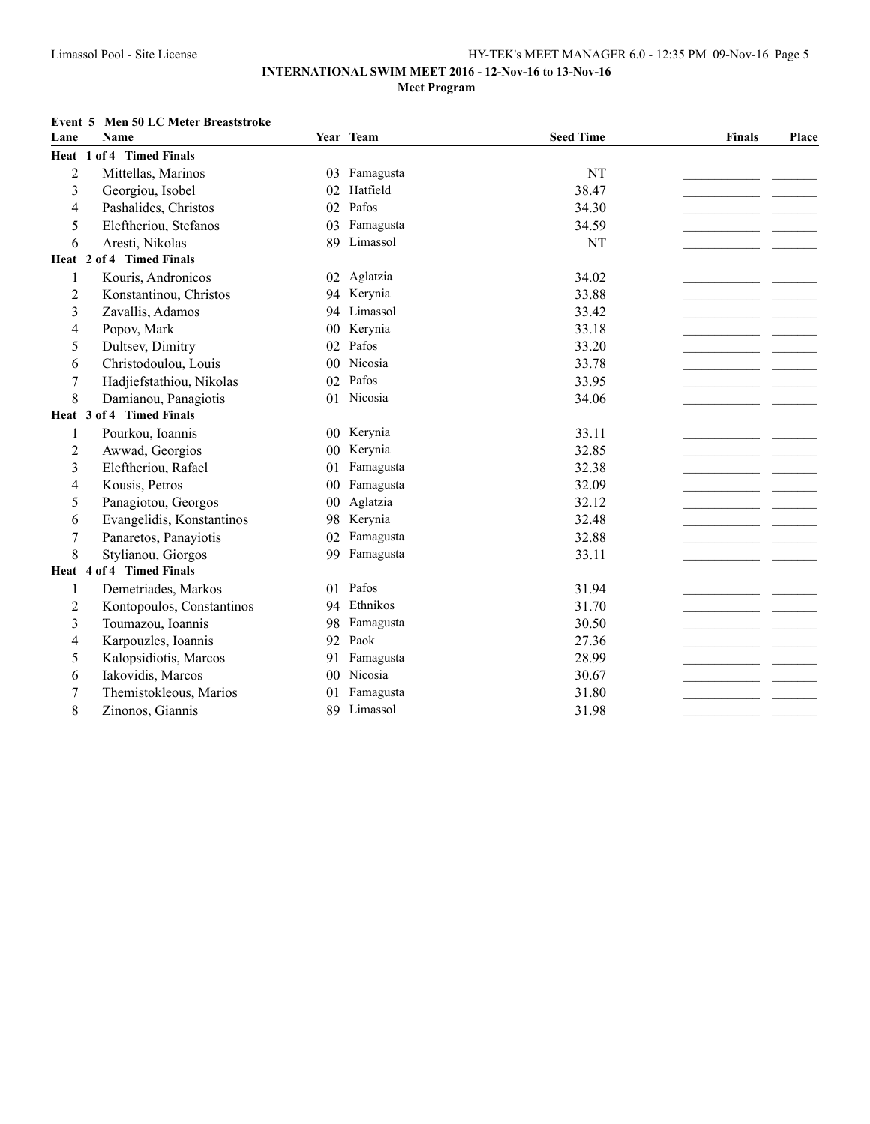#### **Event 5 Men 50 LC Meter Breaststroke**

| Lane           | <b>Name</b>               |                 | Year Team    | <b>Seed Time</b> | <b>Finals</b> | Place |
|----------------|---------------------------|-----------------|--------------|------------------|---------------|-------|
|                | Heat 1 of 4 Timed Finals  |                 |              |                  |               |       |
| $\overline{2}$ | Mittellas, Marinos        |                 | 03 Famagusta | NT               |               |       |
| 3              | Georgiou, Isobel          | 02              | Hatfield     | 38.47            |               |       |
| 4              | Pashalides, Christos      | 02              | Pafos        | 34.30            |               |       |
| 5              | Eleftheriou, Stefanos     | 03              | Famagusta    | 34.59            |               |       |
| 6              | Aresti, Nikolas           | 89              | Limassol     | NT               |               |       |
|                | Heat 2 of 4 Timed Finals  |                 |              |                  |               |       |
| 1              | Kouris, Andronicos        |                 | 02 Aglatzia  | 34.02            |               |       |
| 2              | Konstantinou, Christos    |                 | 94 Kerynia   | 33.88            |               |       |
| 3              | Zavallis, Adamos          |                 | 94 Limassol  | 33.42            |               |       |
| 4              | Popov, Mark               | 0 <sub>0</sub>  | Kerynia      | 33.18            |               |       |
| 5              | Dultsev, Dimitry          | 02              | Pafos        | 33.20            |               |       |
| 6              | Christodoulou, Louis      | 0 <sup>0</sup>  | Nicosia      | 33.78            |               |       |
| 7              | Hadjiefstathiou, Nikolas  | 02              | Pafos        | 33.95            |               |       |
| 8              | Damianou, Panagiotis      |                 | 01 Nicosia   | 34.06            |               |       |
|                | Heat 3 of 4 Timed Finals  |                 |              |                  |               |       |
| 1              | Pourkou, Ioannis          |                 | 00 Kerynia   | 33.11            |               |       |
| $\overline{c}$ | Awwad, Georgios           |                 | 00 Kerynia   | 32.85            |               |       |
| 3              | Eleftheriou, Rafael       | 01              | Famagusta    | 32.38            |               |       |
| 4              | Kousis, Petros            | $00\,$          | Famagusta    | 32.09            |               |       |
| 5              | Panagiotou, Georgos       | 00 <sup>2</sup> | Aglatzia     | 32.12            |               |       |
| 6              | Evangelidis, Konstantinos | 98              | Kerynia      | 32.48            |               |       |
| 7              | Panaretos, Panayiotis     | 02              | Famagusta    | 32.88            |               |       |
| 8              | Stylianou, Giorgos        | 99              | Famagusta    | 33.11            |               |       |
|                | Heat 4 of 4 Timed Finals  |                 |              |                  |               |       |
| 1              | Demetriades, Markos       | 01              | Pafos        | 31.94            |               |       |
| 2              | Kontopoulos, Constantinos | 94              | Ethnikos     | 31.70            |               |       |
| 3              | Toumazou, Ioannis         | 98              | Famagusta    | 30.50            |               |       |
| 4              | Karpouzles, Ioannis       | 92              | Paok         | 27.36            |               |       |
| 5              | Kalopsidiotis, Marcos     | 91              | Famagusta    | 28.99            |               |       |
| 6              | Iakovidis, Marcos         |                 | 00 Nicosia   | 30.67            |               |       |
| 7              | Themistokleous, Marios    | 0 <sub>1</sub>  | Famagusta    | 31.80            |               |       |
| 8              | Zinonos, Giannis          | 89              | Limassol     | 31.98            |               |       |
|                |                           |                 |              |                  |               |       |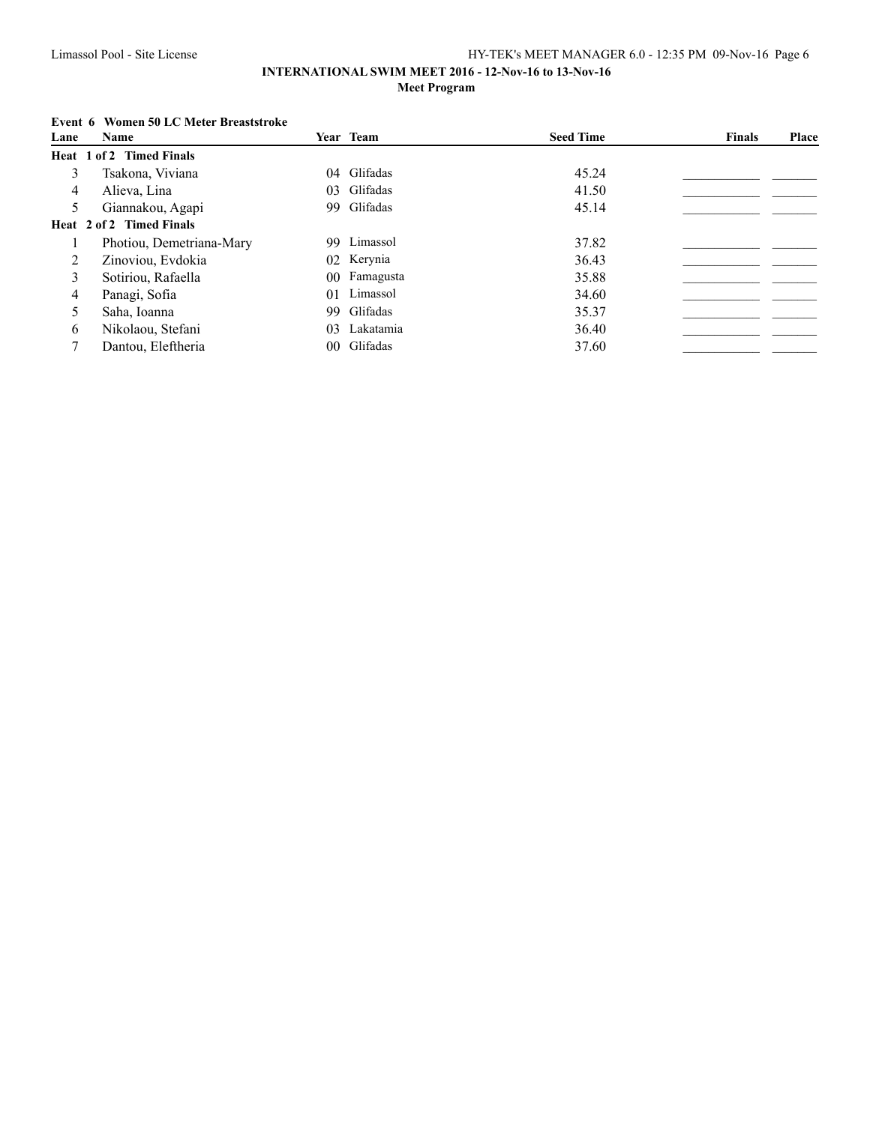### **INTERNATIONAL SWIM MEET 2016 - 12-Nov-16 to 13-Nov-16 Meet Program**

### **Event 6 Women 50 LC Meter Breaststroke**

| Lane | <b>Name</b>              |     | Year Team    | <b>Seed Time</b> | Finals | Place |
|------|--------------------------|-----|--------------|------------------|--------|-------|
|      | Heat 1 of 2 Timed Finals |     |              |                  |        |       |
| 3    | Tsakona, Viviana         |     | 04 Glifadas  | 45.24            |        |       |
| 4    | Alieva, Lina             |     | 03 Glifadas  | 41.50            |        |       |
| 5    | Giannakou, Agapi         |     | 99 Glifadas  | 45.14            |        |       |
|      | Heat 2 of 2 Timed Finals |     |              |                  |        |       |
|      | Photiou, Demetriana-Mary |     | 99 Limassol  | 37.82            |        |       |
| 2    | Zinoviou, Evdokia        |     | 02 Kerynia   | 36.43            |        |       |
| 3    | Sotiriou, Rafaella       |     | 00 Famagusta | 35.88            |        |       |
| 4    | Panagi, Sofia            |     | 01 Limassol  | 34.60            |        |       |
| 5    | Saha, Ioanna             |     | 99 Glifadas  | 35.37            |        |       |
| 6    | Nikolaou, Stefani        | 03. | Lakatamia    | 36.40            |        |       |
|      | Dantou, Eleftheria       |     | 00 Glifadas  | 37.60            |        |       |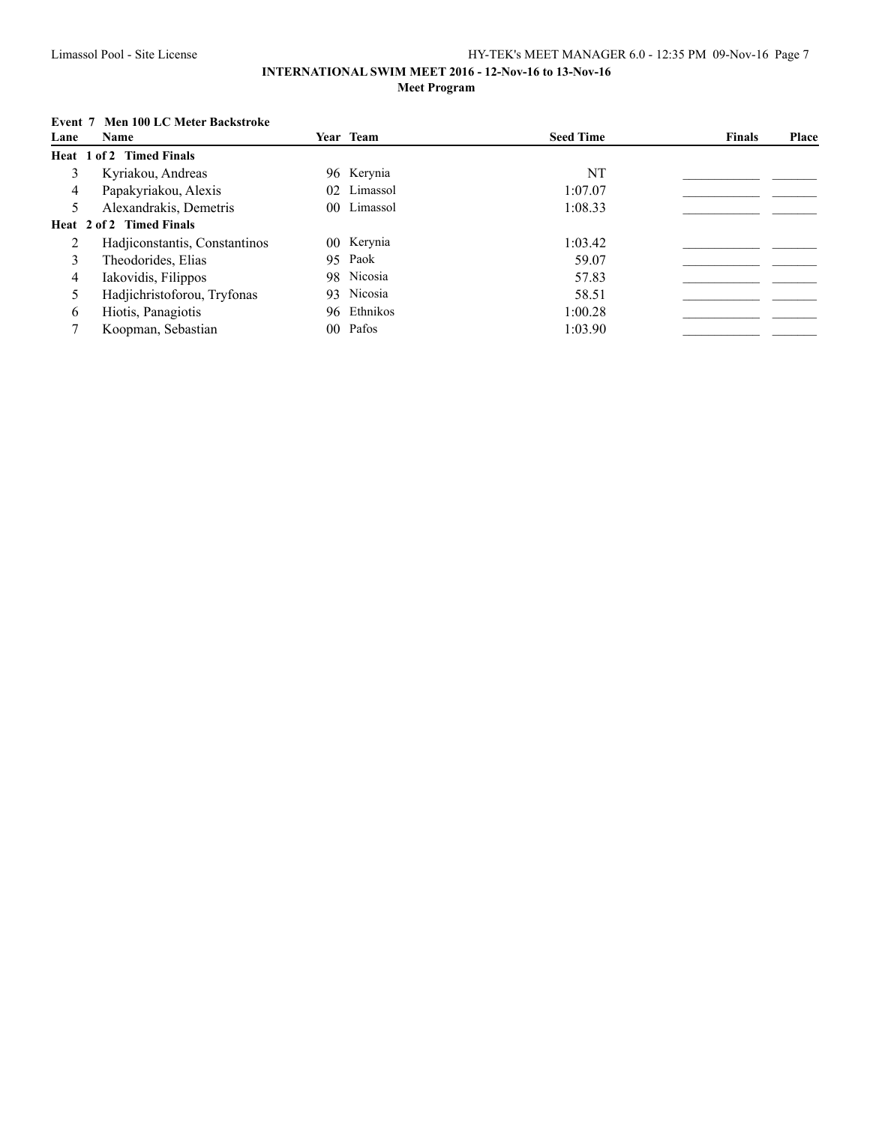### **INTERNATIONAL SWIM MEET 2016 - 12-Nov-16 to 13-Nov-16 Meet Program**

### **Event 7 Men 100 LC Meter Backstroke**

| Lane | <b>Name</b>                   | Year Team   | <b>Seed Time</b> | <b>Finals</b> | Place |
|------|-------------------------------|-------------|------------------|---------------|-------|
|      | Heat 1 of 2 Timed Finals      |             |                  |               |       |
| 3    | Kyriakou, Andreas             | 96 Kerynia  | NT               |               |       |
| 4    | Papakyriakou, Alexis          | 02 Limassol | 1:07.07          |               |       |
| 5    | Alexandrakis, Demetris        | 00 Limassol | 1:08.33          |               |       |
|      | Heat 2 of 2 Timed Finals      |             |                  |               |       |
|      | Hadjiconstantis, Constantinos | 00 Kerynia  | 1:03.42          |               |       |
| 3    | Theodorides, Elias            | 95 Paok     | 59.07            |               |       |
| 4    | Iakovidis, Filippos           | 98 Nicosia  | 57.83            |               |       |
| 5    | Hadjichristoforou, Tryfonas   | 93 Nicosia  | 58.51            |               |       |
| 6    | Hiotis, Panagiotis            | 96 Ethnikos | 1:00.28          |               |       |
|      | Koopman, Sebastian            | 00 Pafos    | 1:03.90          |               |       |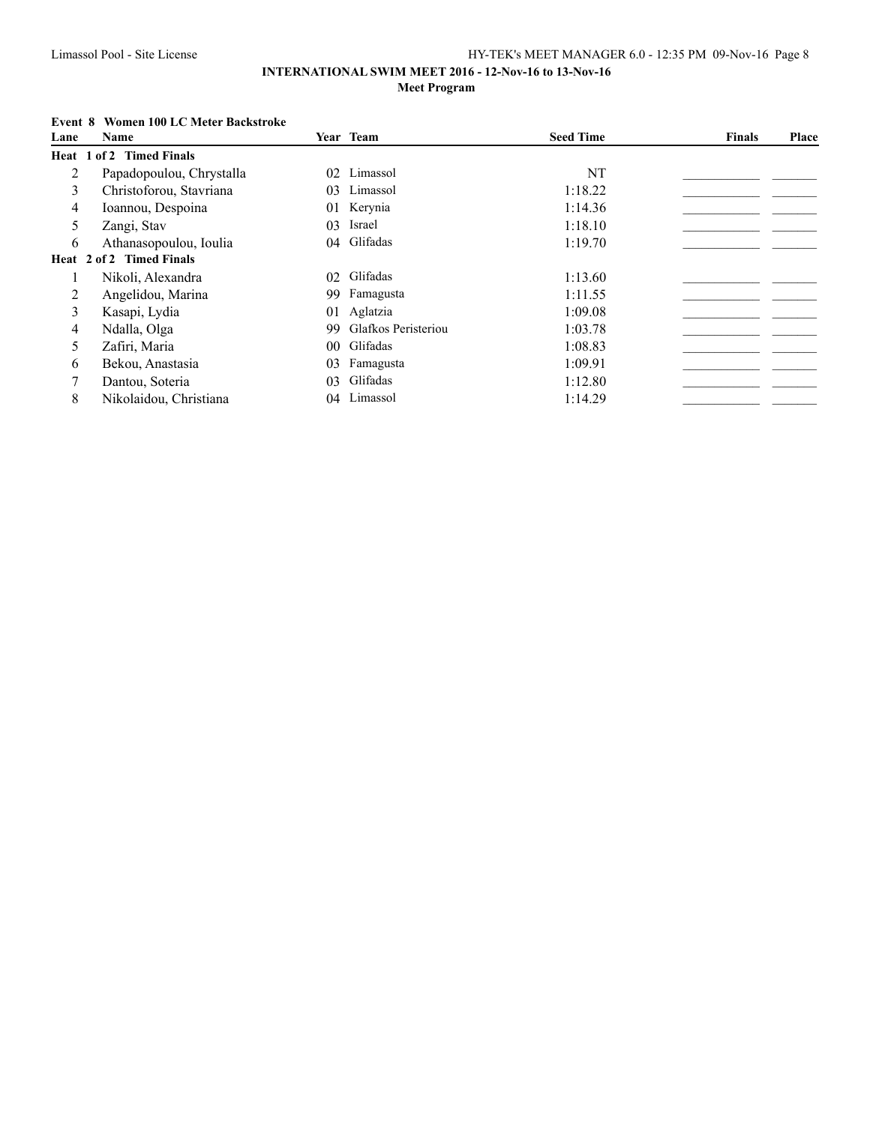## **Event 8 Women 100 LC Meter Backstroke**

| Lane | Name                     |     | Year Team              | <b>Seed Time</b> | <b>Finals</b> | Place |
|------|--------------------------|-----|------------------------|------------------|---------------|-------|
|      | Heat 1 of 2 Timed Finals |     |                        |                  |               |       |
| 2    | Papadopoulou, Chrystalla | 02  | Limassol               | NT               |               |       |
| 3    | Christoforou, Stavriana  | 03  | Limassol               | 1:18.22          |               |       |
| 4    | Ioannou, Despoina        | 01  | Kerynia                | 1:14.36          |               |       |
| 5    | Zangi, Stav              | 03  | Israel                 | 1:18.10          |               |       |
| 6    | Athanasopoulou, Ioulia   |     | 04 Glifadas            | 1:19.70          |               |       |
|      | Heat 2 of 2 Timed Finals |     |                        |                  |               |       |
|      | Nikoli, Alexandra        |     | 02 Glifadas            | 1:13.60          |               |       |
| 2    | Angelidou, Marina        | 99. | Famagusta              | 1:11.55          |               |       |
| 3    | Kasapi, Lydia            | 01  | Aglatzia               | 1:09.08          |               |       |
| 4    | Ndalla, Olga             |     | 99 Glafkos Peristeriou | 1:03.78          |               |       |
| 5    | Zafiri, Maria            |     | 00 Glifadas            | 1:08.83          |               |       |
| 6    | Bekou, Anastasia         | 03  | Famagusta              | 1:09.91          |               |       |
|      | Dantou, Soteria          | 03  | Glifadas               | 1:12.80          |               |       |
| 8    | Nikolaidou, Christiana   | 04  | Limassol               | 1:14.29          |               |       |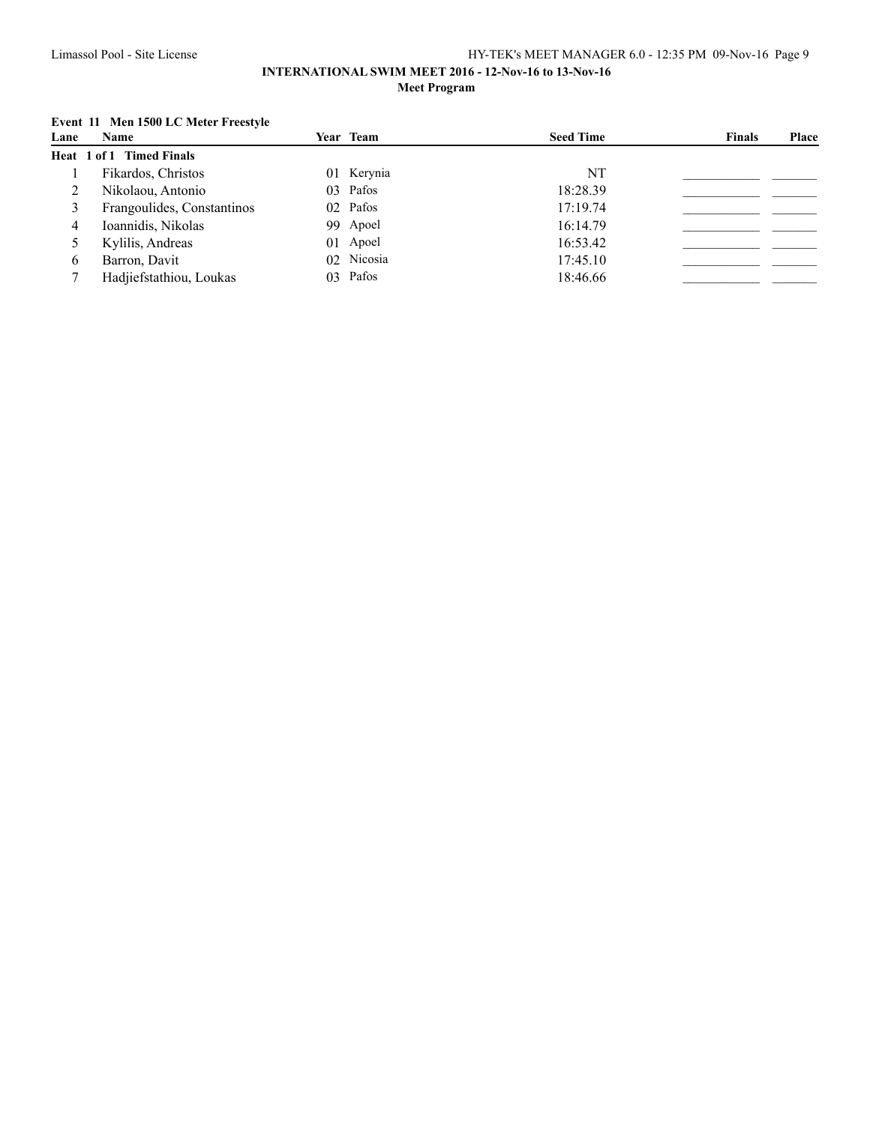### **INTERNATIONAL SWIM MEET 2016 - 12-Nov-16 to 13-Nov-16 Meet Program**

### **Event 11 Men 1500 LC Meter Freestyle**

| Lane | <b>Name</b>                     | Year Team  | <b>Seed Time</b> | <b>Finals</b> | Place |
|------|---------------------------------|------------|------------------|---------------|-------|
|      | <b>Heat 1 of 1 Timed Finals</b> |            |                  |               |       |
|      | Fikardos, Christos              | 01 Kerynia | NT               |               |       |
|      | Nikolaou, Antonio               | 03 Pafos   | 18:28.39         |               |       |
|      | Frangoulides, Constantinos      | 02 Pafos   | 17:19.74         |               |       |
| 4    | Ioannidis, Nikolas              | 99 Apoel   | 16:14.79         |               |       |
|      | Kylilis, Andreas                | 01 Apoel   | 16:53.42         |               |       |
| 6    | Barron, Davit                   | 02 Nicosia | 17:45.10         |               |       |
|      | Hadjiefstathiou, Loukas         | 03 Pafos   | 18:46.66         |               |       |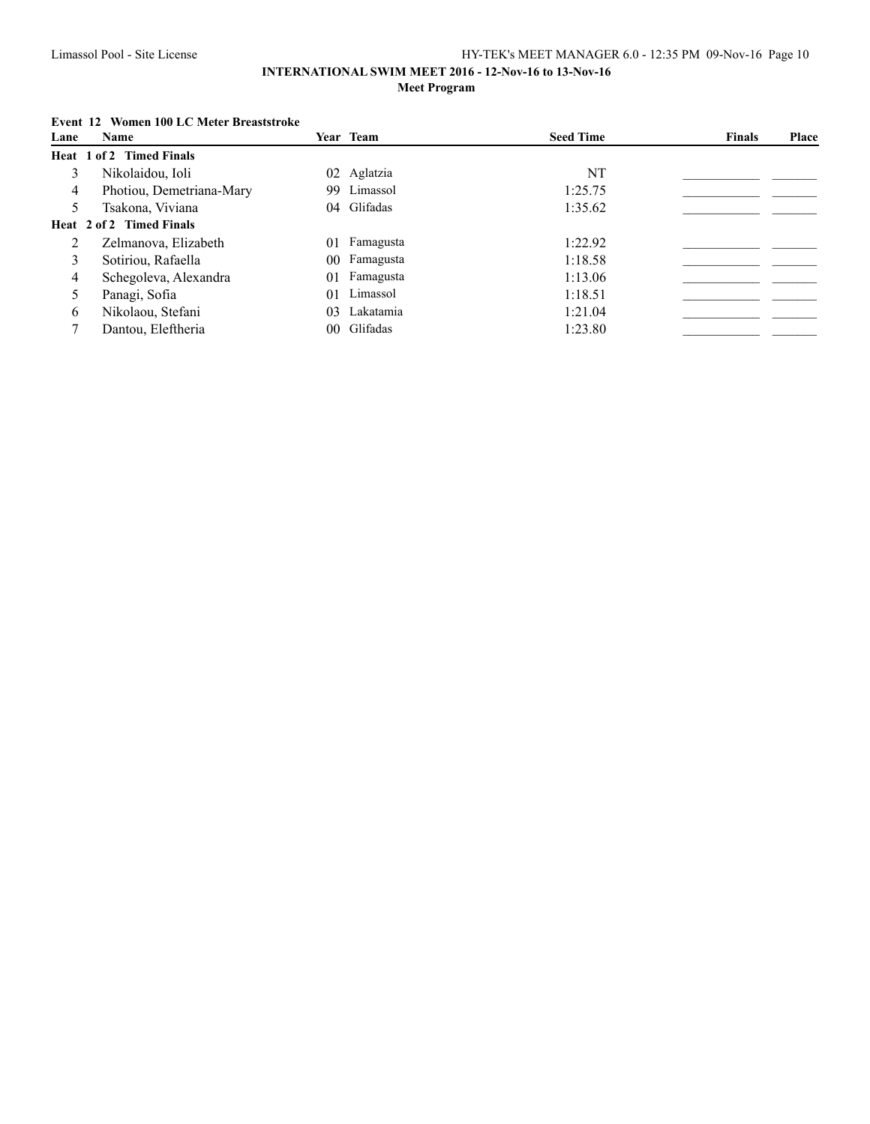### **INTERNATIONAL SWIM MEET 2016 - 12-Nov-16 to 13-Nov-16 Meet Program**

### **Event 12 Women 100 LC Meter Breaststroke**

| Lane | <b>Name</b>              | Year Team    | <b>Seed Time</b> | Finals | Place |
|------|--------------------------|--------------|------------------|--------|-------|
|      | Heat 1 of 2 Timed Finals |              |                  |        |       |
| 3    | Nikolaidou, Ioli         | 02 Aglatzia  | NT               |        |       |
| 4    | Photiou, Demetriana-Mary | 99 Limassol  | 1:25.75          |        |       |
| 5    | Tsakona, Viviana         | 04 Glifadas  | 1:35.62          |        |       |
|      | Heat 2 of 2 Timed Finals |              |                  |        |       |
| 2    | Zelmanova, Elizabeth     | 01 Famagusta | 1:22.92          |        |       |
| 3    | Sotiriou, Rafaella       | 00 Famagusta | 1:18.58          |        |       |
| 4    | Schegoleva, Alexandra    | 01 Famagusta | 1:13.06          |        |       |
| 5    | Panagi, Sofia            | 01 Limassol  | 1:18.51          |        |       |
| 6    | Nikolaou, Stefani        | 03 Lakatamia | 1:21.04          |        |       |
|      | Dantou, Eleftheria       | 00 Glifadas  | 1:23.80          |        |       |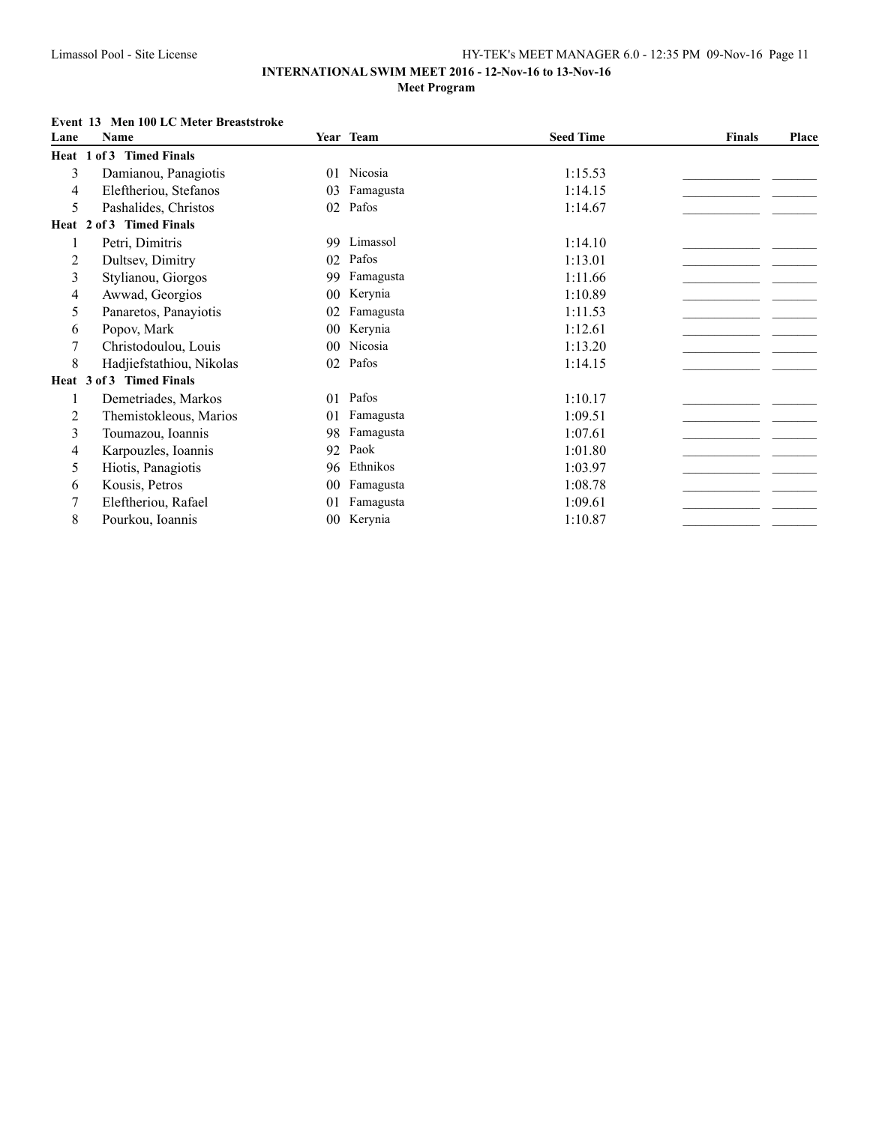### **INTERNATIONAL SWIM MEET 2016 - 12-Nov-16 to 13-Nov-16 Meet Program**

### **Event 13 Men 100 LC Meter Breaststroke**

| Lane | Name                     |                | Year Team | <b>Seed Time</b> | <b>Finals</b> | Place |
|------|--------------------------|----------------|-----------|------------------|---------------|-------|
|      | Heat 1 of 3 Timed Finals |                |           |                  |               |       |
| 3    | Damianou, Panagiotis     | 01             | Nicosia   | 1:15.53          |               |       |
| 4    | Eleftheriou, Stefanos    | 03             | Famagusta | 1:14.15          |               |       |
| 5    | Pashalides, Christos     | 02             | Pafos     | 1:14.67          |               |       |
|      | Heat 2 of 3 Timed Finals |                |           |                  |               |       |
|      | Petri, Dimitris          | 99             | Limassol  | 1:14.10          |               |       |
| 2    | Dultsev, Dimitry         | 02             | Pafos     | 1:13.01          |               |       |
| 3    | Stylianou, Giorgos       | 99             | Famagusta | 1:11.66          |               |       |
| 4    | Awwad, Georgios          | 0 <sub>0</sub> | Kerynia   | 1:10.89          |               |       |
| 5    | Panaretos, Panayiotis    | 02             | Famagusta | 1:11.53          |               |       |
| 6    | Popov, Mark              | 00             | Kerynia   | 1:12.61          |               |       |
| 7    | Christodoulou, Louis     | 0 <sub>0</sub> | Nicosia   | 1:13.20          |               |       |
| 8    | Hadjiefstathiou, Nikolas | 02             | Pafos     | 1:14.15          |               |       |
|      | Heat 3 of 3 Timed Finals |                |           |                  |               |       |
|      | Demetriades, Markos      | 01             | Pafos     | 1:10.17          |               |       |
| 2    | Themistokleous, Marios   | 01             | Famagusta | 1:09.51          |               |       |
| 3    | Toumazou, Ioannis        | 98             | Famagusta | 1:07.61          |               |       |
| 4    | Karpouzles, Ioannis      | 92             | Paok      | 1:01.80          |               |       |
| 5    | Hiotis, Panagiotis       | 96             | Ethnikos  | 1:03.97          |               |       |
| 6    | Kousis, Petros           | 00             | Famagusta | 1:08.78          |               |       |
| 7    | Eleftheriou, Rafael      | 01             | Famagusta | 1:09.61          |               |       |
| 8    | Pourkou, Ioannis         | $00\,$         | Kerynia   | 1:10.87          |               |       |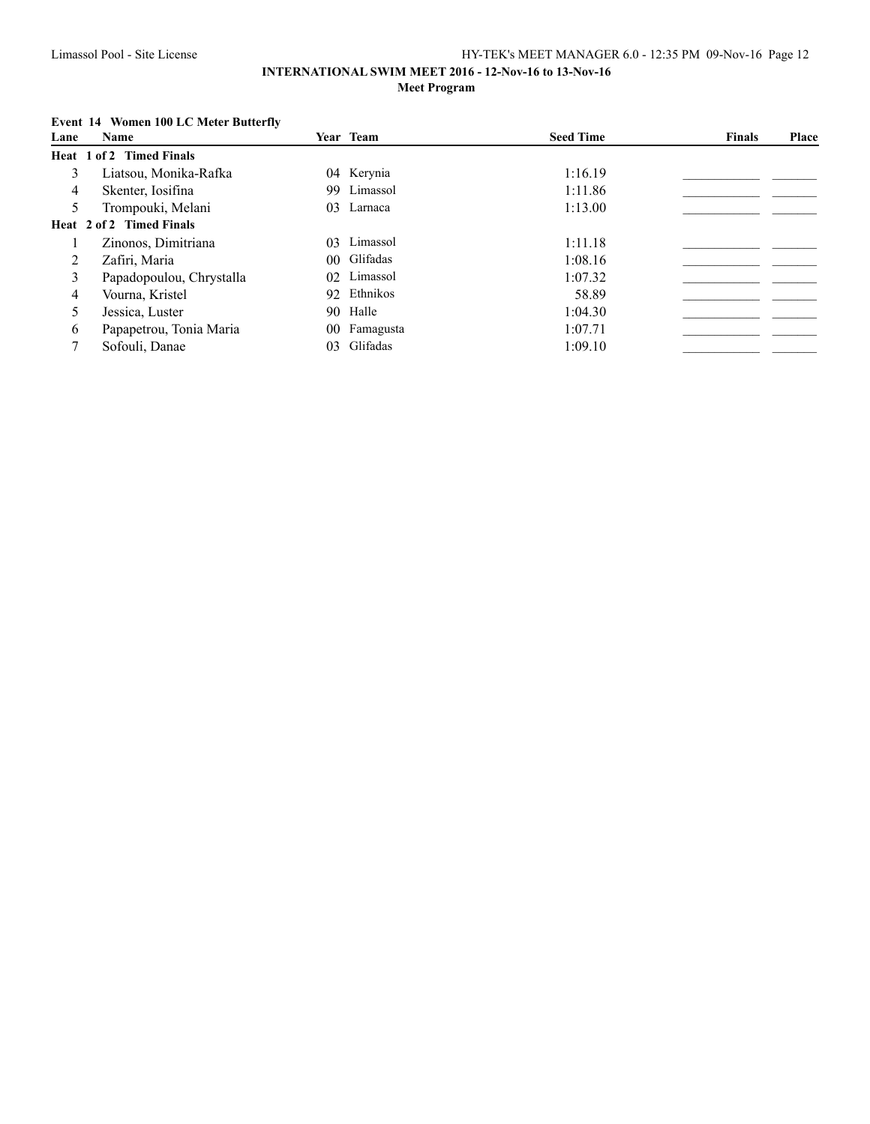### **INTERNATIONAL SWIM MEET 2016 - 12-Nov-16 to 13-Nov-16 Meet Program**

## **Event 14 Women 100 LC Meter Butterfly**

| Lane | Name                     |    | Year Team    | <b>Seed Time</b> | <b>Finals</b> | Place |
|------|--------------------------|----|--------------|------------------|---------------|-------|
|      | Heat 1 of 2 Timed Finals |    |              |                  |               |       |
| 3    | Liatsou, Monika-Rafka    |    | 04 Kerynia   | 1:16.19          |               |       |
| 4    | Skenter, Iosifina        |    | 99 Limassol  | 1:11.86          |               |       |
|      | Trompouki, Melani        |    | 03 Larnaca   | 1:13.00          |               |       |
|      | Heat 2 of 2 Timed Finals |    |              |                  |               |       |
|      | Zinonos, Dimitriana      |    | 03 Limassol  | 1:11.18          |               |       |
| 2    | Zafiri, Maria            |    | 00 Glifadas  | 1:08.16          |               |       |
| 3    | Papadopoulou, Chrystalla |    | 02 Limassol  | 1:07.32          |               |       |
| 4    | Vourna, Kristel          |    | 92 Ethnikos  | 58.89            |               |       |
| 5    | Jessica, Luster          |    | 90 Halle     | 1:04.30          |               |       |
| 6    | Papapetrou, Tonia Maria  |    | 00 Famagusta | 1:07.71          |               |       |
|      | Sofouli, Danae           | 03 | Glifadas     | 1:09.10          |               |       |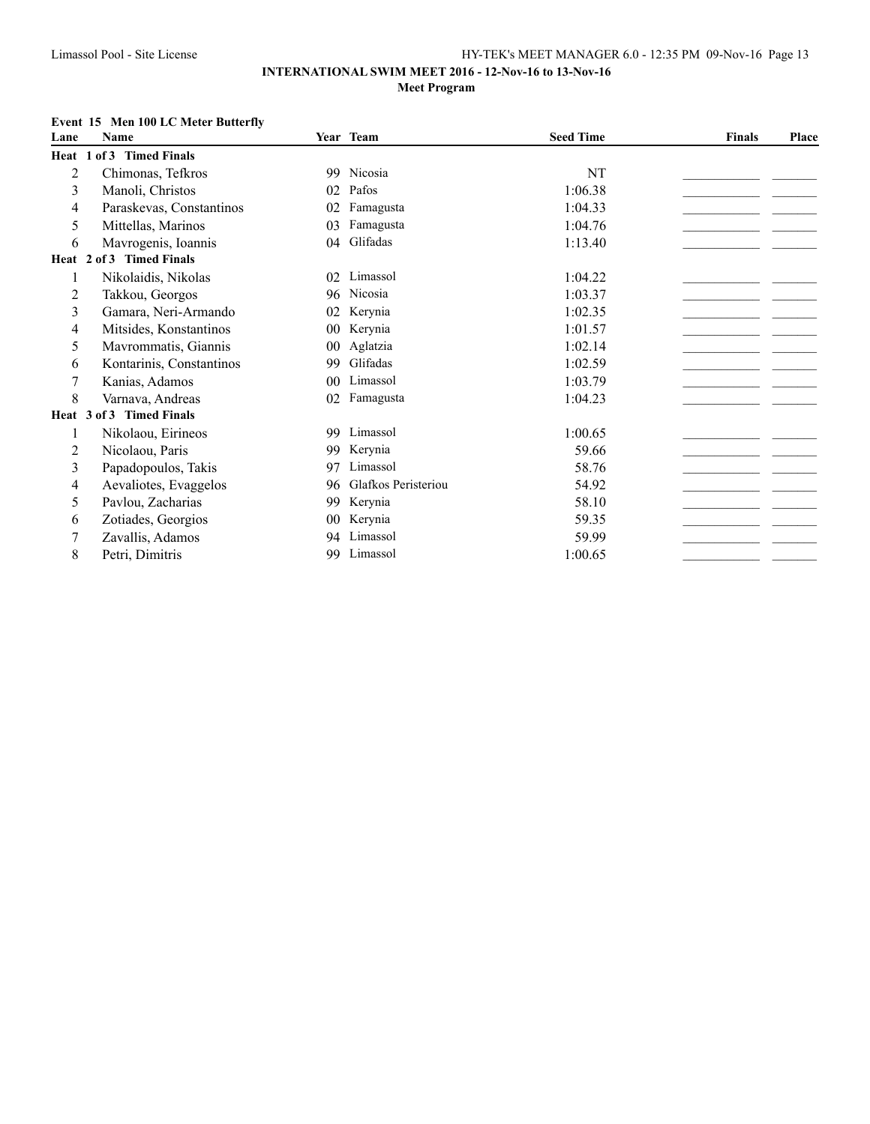## **Event 15 Men 100 LC Meter Butterfly**

| Lane | <b>Name</b>              |                | Year Team           | <b>Seed Time</b> | <b>Finals</b> | Place |
|------|--------------------------|----------------|---------------------|------------------|---------------|-------|
|      | Heat 1 of 3 Timed Finals |                |                     |                  |               |       |
| 2    | Chimonas, Tefkros        | 99             | Nicosia             | NT               |               |       |
| 3    | Manoli, Christos         | 02             | Pafos               | 1:06.38          |               |       |
| 4    | Paraskevas, Constantinos | 02             | Famagusta           | 1:04.33          |               |       |
| 5    | Mittellas, Marinos       | 03             | Famagusta           | 1:04.76          |               |       |
| 6    | Mavrogenis, Ioannis      | 04             | Glifadas            | 1:13.40          |               |       |
|      | Heat 2 of 3 Timed Finals |                |                     |                  |               |       |
| 1    | Nikolaidis, Nikolas      | 02             | Limassol            | 1:04.22          |               |       |
| 2    | Takkou, Georgos          | 96             | Nicosia             | 1:03.37          |               |       |
| 3    | Gamara, Neri-Armando     | 02             | Kerynia             | 1:02.35          |               |       |
| 4    | Mitsides, Konstantinos   | 0 <sub>0</sub> | Kerynia             | 1:01.57          |               |       |
| 5    | Mavrommatis, Giannis     | 0 <sub>0</sub> | Aglatzia            | 1:02.14          |               |       |
| 6    | Kontarinis, Constantinos | 99             | Glifadas            | 1:02.59          |               |       |
|      | Kanias, Adamos           | 0 <sub>0</sub> | Limassol            | 1:03.79          |               |       |
| 8    | Varnava, Andreas         | 02             | Famagusta           | 1:04.23          |               |       |
|      | Heat 3 of 3 Timed Finals |                |                     |                  |               |       |
| 1    | Nikolaou, Eirineos       | 99             | Limassol            | 1:00.65          |               |       |
| 2    | Nicolaou, Paris          | 99             | Kerynia             | 59.66            |               |       |
| 3    | Papadopoulos, Takis      | 97             | Limassol            | 58.76            |               |       |
| 4    | Aevaliotes, Evaggelos    | 96             | Glafkos Peristeriou | 54.92            |               |       |
| 5    | Pavlou, Zacharias        | 99             | Kerynia             | 58.10            |               |       |
| 6    | Zotiades, Georgios       | 0 <sup>0</sup> | Kerynia             | 59.35            |               |       |
| 7    | Zavallis, Adamos         | 94             | Limassol            | 59.99            |               |       |
| 8    | Petri, Dimitris          | 99             | Limassol            | 1:00.65          |               |       |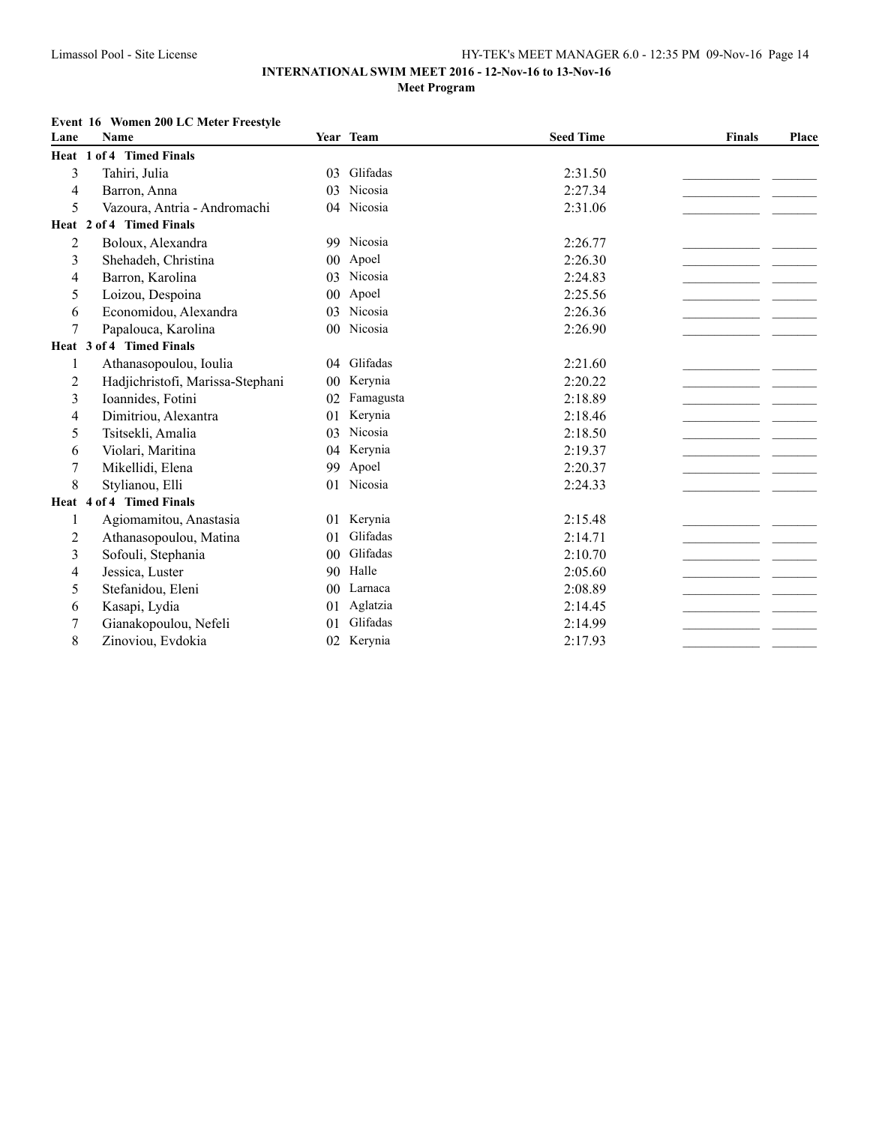### **Event 16 Women 200 LC Meter Freestyle**

| Lane           | <b>Name</b>                      |                | Year Team | <b>Seed Time</b> | <b>Finals</b> | Place |
|----------------|----------------------------------|----------------|-----------|------------------|---------------|-------|
|                | Heat 1 of 4 Timed Finals         |                |           |                  |               |       |
| 3              | Tahiri, Julia                    | 03             | Glifadas  | 2:31.50          |               |       |
| 4              | Barron, Anna                     | 03             | Nicosia   | 2:27.34          |               |       |
| 5              | Vazoura, Antria - Andromachi     | 04             | Nicosia   | 2:31.06          |               |       |
|                | Heat 2 of 4 Timed Finals         |                |           |                  |               |       |
| $\overline{2}$ | Boloux, Alexandra                | 99             | Nicosia   | 2:26.77          |               |       |
| 3              | Shehadeh, Christina              | 00             | Apoel     | 2:26.30          |               |       |
| 4              | Barron, Karolina                 | 03             | Nicosia   | 2:24.83          |               |       |
| 5              | Loizou, Despoina                 | 0 <sub>0</sub> | Apoel     | 2:25.56          |               |       |
| 6              | Economidou, Alexandra            | 03             | Nicosia   | 2:26.36          |               |       |
| 7              | Papalouca, Karolina              | 0 <sub>0</sub> | Nicosia   | 2:26.90          |               |       |
|                | Heat 3 of 4 Timed Finals         |                |           |                  |               |       |
| 1              | Athanasopoulou, Ioulia           | 04             | Glifadas  | 2:21.60          |               |       |
| 2              | Hadjichristofi, Marissa-Stephani | 0 <sub>0</sub> | Kerynia   | 2:20.22          |               |       |
| 3              | Ioannides, Fotini                | 02             | Famagusta | 2:18.89          |               |       |
| 4              | Dimitriou, Alexantra             | 01             | Kerynia   | 2:18.46          |               |       |
| 5              | Tsitsekli, Amalia                | 03             | Nicosia   | 2:18.50          |               |       |
| 6              | Violari, Maritina                | 04             | Kerynia   | 2:19.37          |               |       |
| $\sqrt{ }$     | Mikellidi, Elena                 | 99             | Apoel     | 2:20.37          |               |       |
| 8              | Stylianou, Elli                  | 01             | Nicosia   | 2:24.33          |               |       |
|                | Heat 4 of 4 Timed Finals         |                |           |                  |               |       |
| 1              | Agiomamitou, Anastasia           | 01             | Kerynia   | 2:15.48          |               |       |
| 2              | Athanasopoulou, Matina           | 01             | Glifadas  | 2:14.71          |               |       |
| 3              | Sofouli, Stephania               | 0 <sup>0</sup> | Glifadas  | 2:10.70          |               |       |
| 4              | Jessica, Luster                  | 90             | Halle     | 2:05.60          |               |       |
| 5              | Stefanidou, Eleni                | 0 <sub>0</sub> | Larnaca   | 2:08.89          |               |       |
| 6              | Kasapi, Lydia                    | 01             | Aglatzia  | 2:14.45          |               |       |
| 7              | Gianakopoulou, Nefeli            | 0 <sup>1</sup> | Glifadas  | 2:14.99          |               |       |
| 8              | Zinoviou, Evdokia                | 02             | Kerynia   | 2:17.93          |               |       |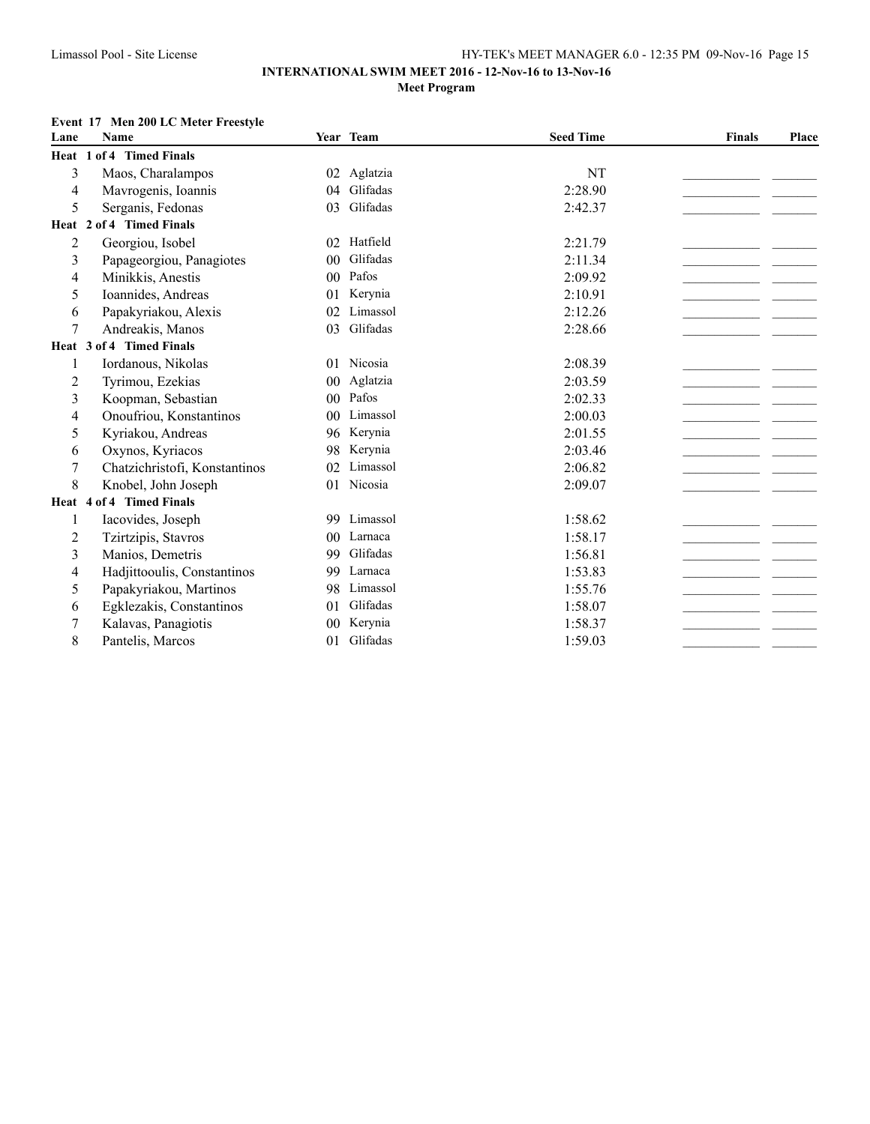### **Event 17 Men 200 LC Meter Freestyle**

| Lane           | <b>Name</b>                   |                | Year Team | <b>Seed Time</b> | <b>Finals</b> | Place |
|----------------|-------------------------------|----------------|-----------|------------------|---------------|-------|
|                | Heat 1 of 4 Timed Finals      |                |           |                  |               |       |
| 3              | Maos, Charalampos             | 02             | Aglatzia  | NT               |               |       |
| 4              | Mavrogenis, Ioannis           | 04             | Glifadas  | 2:28.90          |               |       |
| 5              | Serganis, Fedonas             | 03             | Glifadas  | 2:42.37          |               |       |
|                | Heat 2 of 4 Timed Finals      |                |           |                  |               |       |
| 2              | Georgiou, Isobel              | 02             | Hatfield  | 2:21.79          |               |       |
| 3              | Papageorgiou, Panagiotes      | 0 <sup>0</sup> | Glifadas  | 2:11.34          |               |       |
| 4              | Minikkis, Anestis             | 0 <sub>0</sub> | Pafos     | 2:09.92          |               |       |
| 5              | Ioannides, Andreas            | 01             | Kerynia   | 2:10.91          |               |       |
| 6              | Papakyriakou, Alexis          | 02             | Limassol  | 2:12.26          |               |       |
| $\overline{7}$ | Andreakis, Manos              | 0 <sup>3</sup> | Glifadas  | 2:28.66          |               |       |
|                | Heat 3 of 4 Timed Finals      |                |           |                  |               |       |
| 1              | Iordanous, Nikolas            | 01             | Nicosia   | 2:08.39          |               |       |
| 2              | Tyrimou, Ezekias              | 00             | Aglatzia  | 2:03.59          |               |       |
| 3              | Koopman, Sebastian            | 0 <sup>0</sup> | Pafos     | 2:02.33          |               |       |
| 4              | Onoufriou, Konstantinos       | 0 <sup>0</sup> | Limassol  | 2:00.03          |               |       |
| 5              | Kyriakou, Andreas             | 96             | Kerynia   | 2:01.55          |               |       |
| 6              | Oxynos, Kyriacos              | 98             | Kerynia   | 2:03.46          |               |       |
| 7              | Chatzichristofi, Konstantinos | 02             | Limassol  | 2:06.82          |               |       |
| 8              | Knobel, John Joseph           | 01             | Nicosia   | 2:09.07          |               |       |
|                | Heat 4 of 4 Timed Finals      |                |           |                  |               |       |
| 1              | Iacovides, Joseph             | 99             | Limassol  | 1:58.62          |               |       |
| 2              | Tzirtzipis, Stavros           | 0 <sup>0</sup> | Larnaca   | 1:58.17          |               |       |
| 3              | Manios, Demetris              | 99             | Glifadas  | 1:56.81          |               |       |
| 4              | Hadjittooulis, Constantinos   | 99             | Larnaca   | 1:53.83          |               |       |
| 5              | Papakyriakou, Martinos        | 98             | Limassol  | 1:55.76          |               |       |
| 6              | Egklezakis, Constantinos      | 01             | Glifadas  | 1:58.07          |               |       |
| 7              | Kalavas, Panagiotis           | 0 <sub>0</sub> | Kerynia   | 1:58.37          |               |       |
| 8              | Pantelis, Marcos              | 01             | Glifadas  | 1:59.03          |               |       |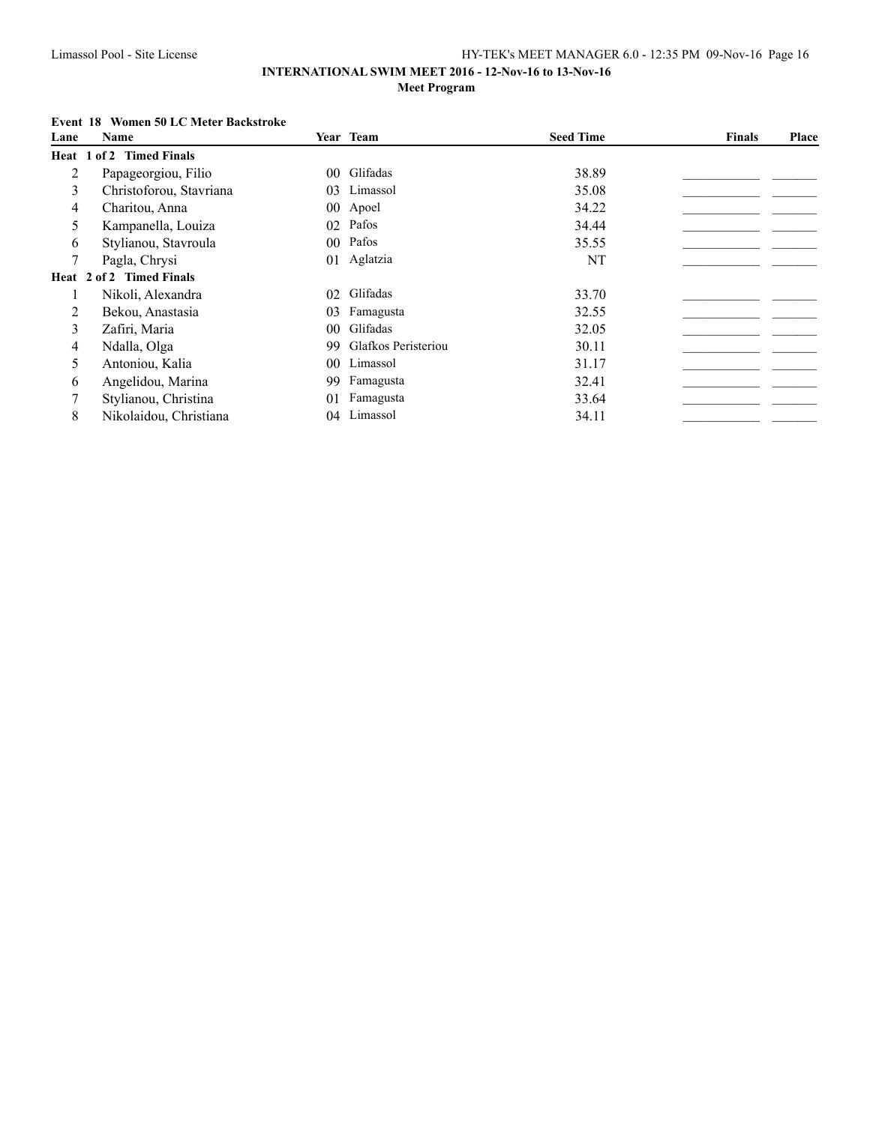## **Event 18 Women 50 LC Meter Backstroke**

| Lane | <b>Name</b>              |    | Year Team           | <b>Seed Time</b> | <b>Finals</b> | Place |
|------|--------------------------|----|---------------------|------------------|---------------|-------|
|      | Heat 1 of 2 Timed Finals |    |                     |                  |               |       |
| 2    | Papageorgiou, Filio      |    | 00 Glifadas         | 38.89            |               |       |
| 3    | Christoforou, Stavriana  |    | 03 Limassol         | 35.08            |               |       |
| 4    | Charitou, Anna           |    | 00 Apoel            | 34.22            |               |       |
| 5    | Kampanella, Louiza       |    | 02 Pafos            | 34.44            |               |       |
| 6    | Stylianou, Stavroula     |    | 00 Pafos            | 35.55            |               |       |
| 7    | Pagla, Chrysi            |    | 01 Aglatzia         | NT               |               |       |
|      | Heat 2 of 2 Timed Finals |    |                     |                  |               |       |
|      | Nikoli, Alexandra        |    | 02 Glifadas         | 33.70            |               |       |
| 2    | Bekou, Anastasia         | 03 | Famagusta           | 32.55            |               |       |
| 3    | Zafiri, Maria            |    | 00 Glifadas         | 32.05            |               |       |
| 4    | Ndalla, Olga             | 99 | Glafkos Peristeriou | 30.11            |               |       |
| 5    | Antoniou, Kalia          |    | 00 Limassol         | 31.17            |               |       |
| 6    | Angelidou, Marina        | 99 | Famagusta           | 32.41            |               |       |
|      | Stylianou, Christina     | 01 | Famagusta           | 33.64            |               |       |
| 8    | Nikolaidou, Christiana   | 04 | Limassol            | 34.11            |               |       |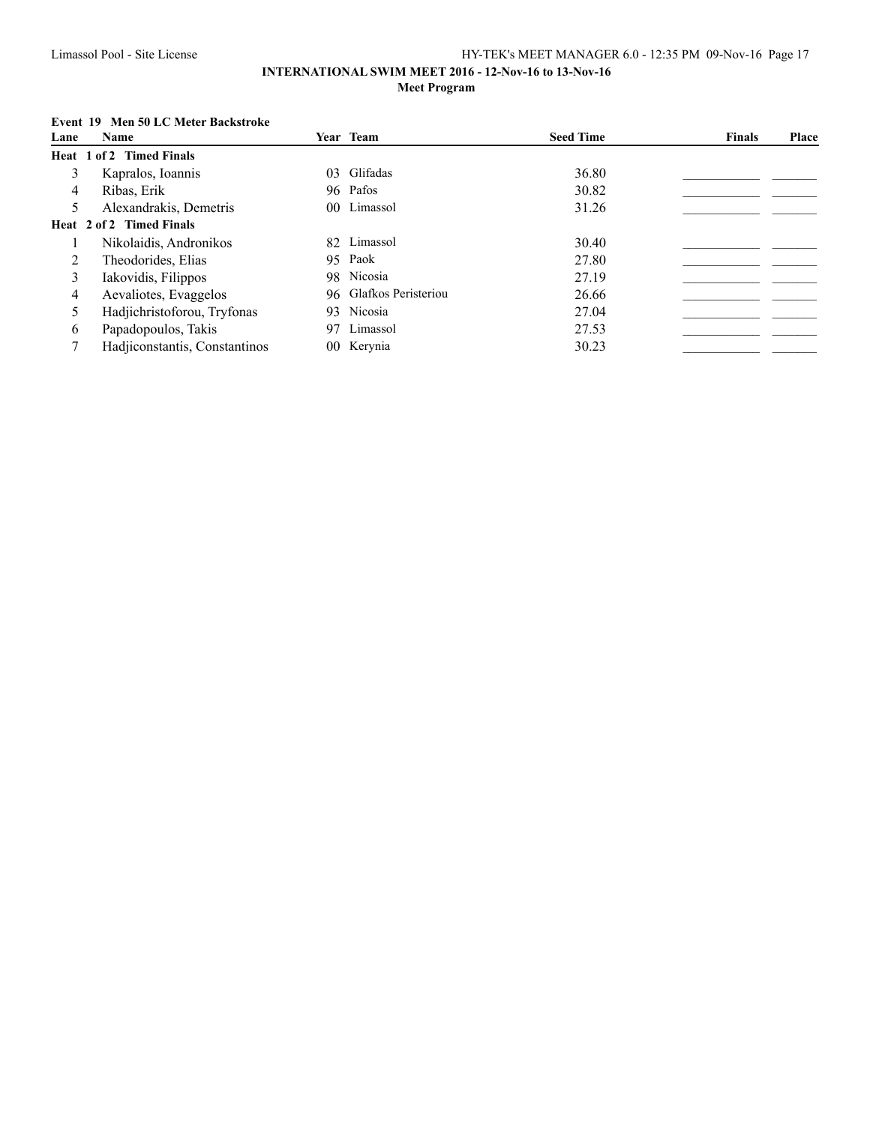### **INTERNATIONAL SWIM MEET 2016 - 12-Nov-16 to 13-Nov-16 Meet Program**

### **Event 19 Men 50 LC Meter Backstroke**

| Lane | <b>Name</b>                   | Year Team              | <b>Seed Time</b> | <b>Finals</b> | Place |
|------|-------------------------------|------------------------|------------------|---------------|-------|
|      | Heat 1 of 2 Timed Finals      |                        |                  |               |       |
| 3    | Kapralos, Ioannis             | 03 Glifadas            | 36.80            |               |       |
| 4    | Ribas, Erik                   | 96 Pafos               | 30.82            |               |       |
| 5    | Alexandrakis, Demetris        | 00 Limassol            | 31.26            |               |       |
|      | Heat 2 of 2 Timed Finals      |                        |                  |               |       |
|      | Nikolaidis, Andronikos        | 82 Limassol            | 30.40            |               |       |
| 2    | Theodorides, Elias            | 95 Paok                | 27.80            |               |       |
| 3    | Iakovidis, Filippos           | 98 Nicosia             | 27.19            |               |       |
| 4    | Aevaliotes, Evaggelos         | 96 Glafkos Peristeriou | 26.66            |               |       |
| 5    | Hadjichristoforou, Tryfonas   | 93 Nicosia             | 27.04            |               |       |
| 6    | Papadopoulos, Takis           | 97 Limassol            | 27.53            |               |       |
|      | Hadjiconstantis, Constantinos | 00 Kerynia             | 30.23            |               |       |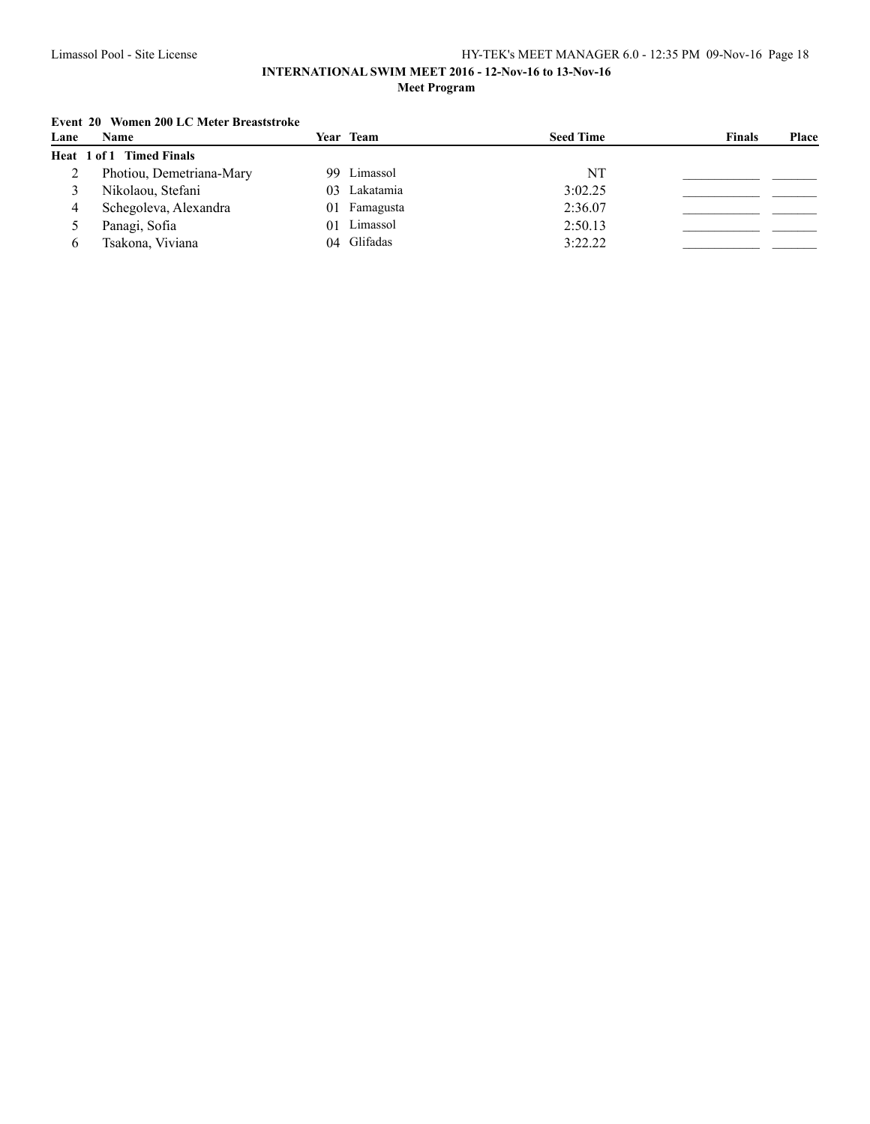### **INTERNATIONAL SWIM MEET 2016 - 12-Nov-16 to 13-Nov-16 Meet Program**

## **Event 20 Women 200 LC Meter Breaststroke**

| Lane | Name                     | Year Team      | <b>Seed Time</b> | <b>Finals</b><br><b>Place</b> |
|------|--------------------------|----------------|------------------|-------------------------------|
|      | Heat 1 of 1 Timed Finals |                |                  |                               |
|      | Photiou, Demetriana-Mary | 99 Limassol    | NT               |                               |
|      | Nikolaou, Stefani        | 03 Lakatamia   | 3:02.25          |                               |
|      | Schegoleva, Alexandra    | 01 Famagusta   | 2:36.07          |                               |
|      | Panagi, Sofia            | Limassol<br>01 | 2:50.13          |                               |
|      | Tsakona, Viviana         | 04 Glifadas    | 3:22.22          |                               |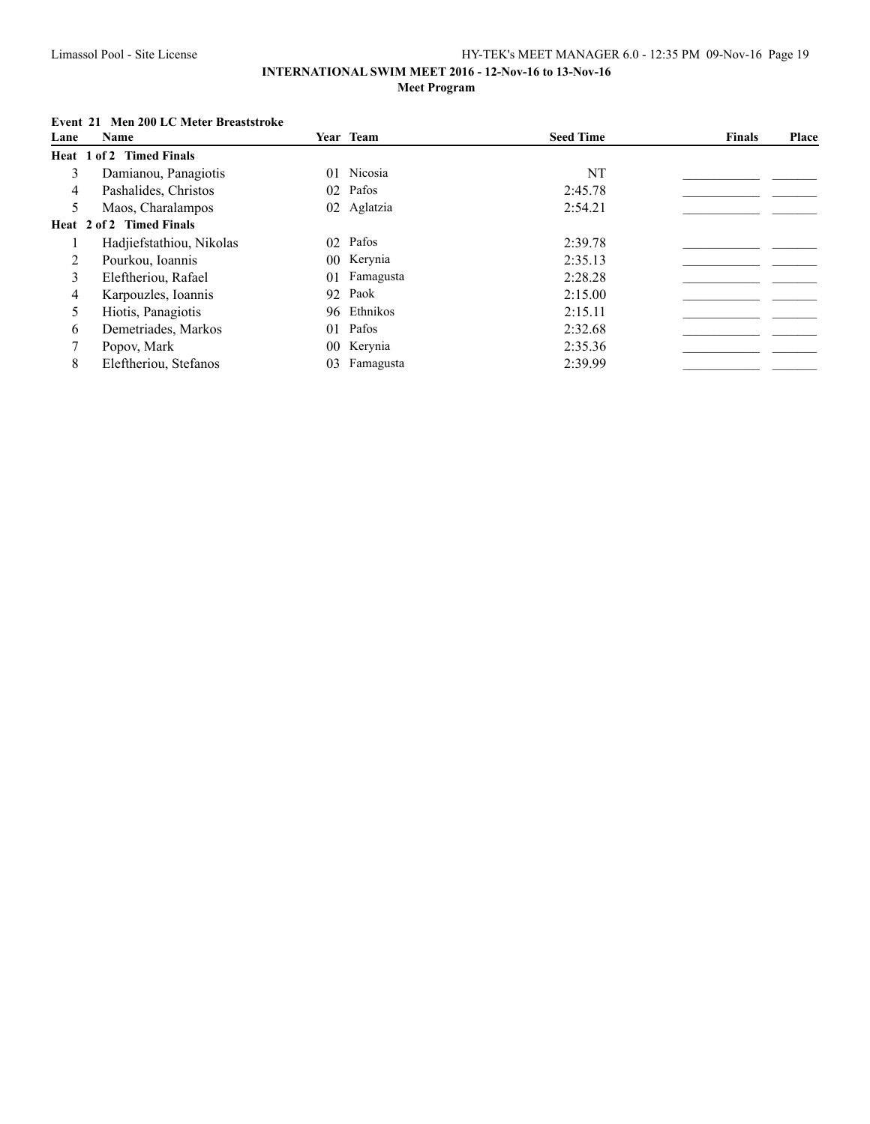### **INTERNATIONAL SWIM MEET 2016 - 12-Nov-16 to 13-Nov-16 Meet Program**

### **Event 21 Men 200 LC Meter Breaststroke**

| Lane | Name                     |    | Year Team    | <b>Seed Time</b> | <b>Finals</b> | Place |
|------|--------------------------|----|--------------|------------------|---------------|-------|
|      | Heat 1 of 2 Timed Finals |    |              |                  |               |       |
| 3    | Damianou, Panagiotis     |    | 01 Nicosia   | NT               |               |       |
| 4    | Pashalides, Christos     |    | 02 Pafos     | 2:45.78          |               |       |
| 5    | Maos, Charalampos        |    | 02 Aglatzia  | 2:54.21          |               |       |
|      | Heat 2 of 2 Timed Finals |    |              |                  |               |       |
|      | Hadjiefstathiou, Nikolas |    | 02 Pafos     | 2:39.78          |               |       |
| 2    | Pourkou, Ioannis         |    | 00 Kerynia   | 2:35.13          |               |       |
| 3    | Eleftheriou, Rafael      |    | 01 Famagusta | 2:28.28          |               |       |
| 4    | Karpouzles, Ioannis      |    | 92 Paok      | 2:15.00          |               |       |
| 5    | Hiotis, Panagiotis       |    | 96 Ethnikos  | 2:15.11          |               |       |
| 6    | Demetriades, Markos      |    | 01 Pafos     | 2:32.68          |               |       |
|      | Popov, Mark              |    | 00 Kerynia   | 2:35.36          |               |       |
| 8    | Eleftheriou, Stefanos    | 03 | Famagusta    | 2:39.99          |               |       |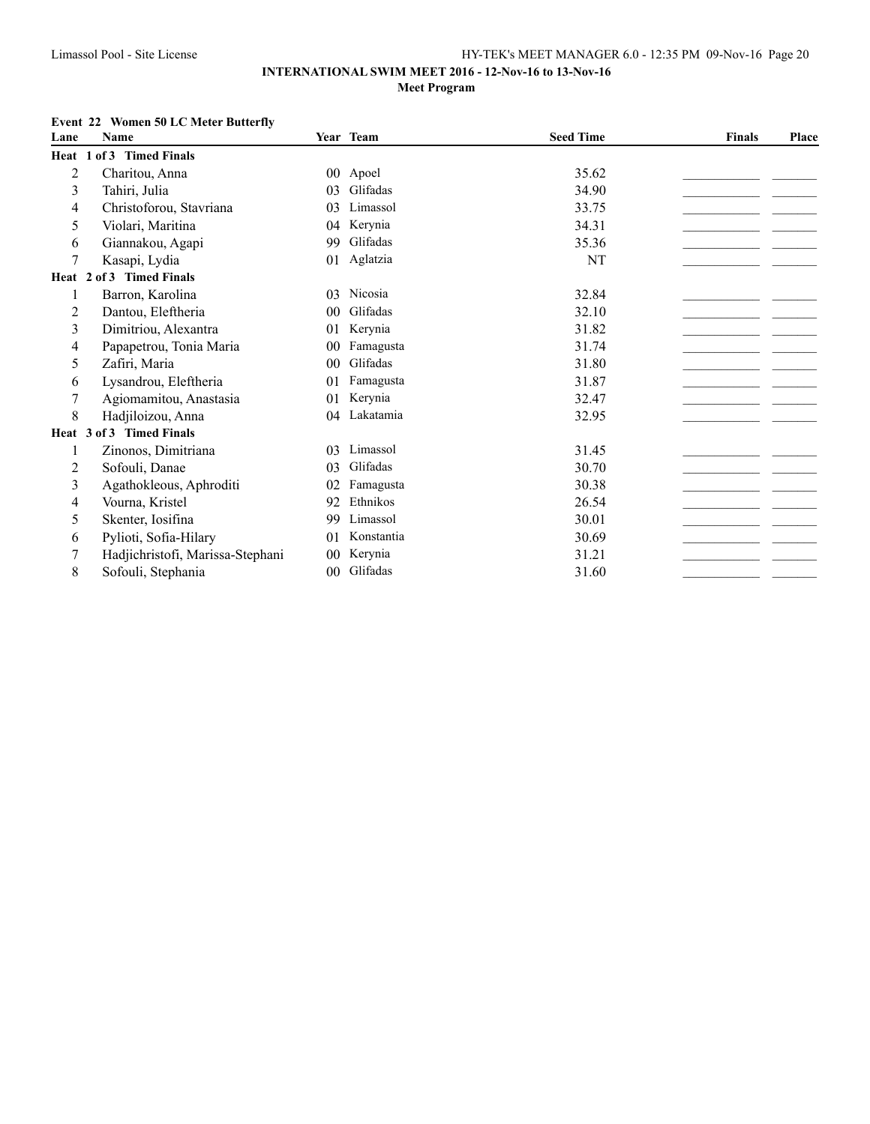## **Event 22 Women 50 LC Meter Butterfly**

| Lane | <b>Name</b>                      |                 | Year Team  | <b>Seed Time</b> | <b>Finals</b> | Place |
|------|----------------------------------|-----------------|------------|------------------|---------------|-------|
|      | Heat 1 of 3 Timed Finals         |                 |            |                  |               |       |
| 2    | Charitou, Anna                   | 00 <sup>°</sup> | Apoel      | 35.62            |               |       |
| 3    | Tahiri, Julia                    | 03              | Glifadas   | 34.90            |               |       |
| 4    | Christoforou, Stavriana          | 03              | Limassol   | 33.75            |               |       |
| 5    | Violari, Maritina                | 04              | Kerynia    | 34.31            |               |       |
| 6    | Giannakou, Agapi                 | 99              | Glifadas   | 35.36            |               |       |
| 7    | Kasapi, Lydia                    | 01              | Aglatzia   | NT               |               |       |
|      | Heat 2 of 3 Timed Finals         |                 |            |                  |               |       |
| 1    | Barron, Karolina                 | 03              | Nicosia    | 32.84            |               |       |
| 2    | Dantou, Eleftheria               | 0 <sub>0</sub>  | Glifadas   | 32.10            |               |       |
| 3    | Dimitriou, Alexantra             | 01              | Kerynia    | 31.82            |               |       |
| 4    | Papapetrou, Tonia Maria          | 0 <sub>0</sub>  | Famagusta  | 31.74            |               |       |
| 5    | Zafiri, Maria                    | 0 <sup>0</sup>  | Glifadas   | 31.80            |               |       |
| 6    | Lysandrou, Eleftheria            | 01              | Famagusta  | 31.87            |               |       |
| 7    | Agiomamitou, Anastasia           | 0 <sub>1</sub>  | Kerynia    | 32.47            |               |       |
| 8    | Hadjiloizou, Anna                | 04              | Lakatamia  | 32.95            |               |       |
|      | Heat 3 of 3 Timed Finals         |                 |            |                  |               |       |
| 1    | Zinonos, Dimitriana              | 03              | Limassol   | 31.45            |               |       |
| 2    | Sofouli, Danae                   | 03              | Glifadas   | 30.70            |               |       |
| 3    | Agathokleous, Aphroditi          | 02              | Famagusta  | 30.38            |               |       |
| 4    | Vourna, Kristel                  | 92              | Ethnikos   | 26.54            |               |       |
| 5    | Skenter, Iosifina                | 99              | Limassol   | 30.01            |               |       |
| 6    | Pylioti, Sofia-Hilary            | 01              | Konstantia | 30.69            |               |       |
| 7    | Hadjichristofi, Marissa-Stephani | $00\,$          | Kerynia    | 31.21            |               |       |
| 8    | Sofouli, Stephania               | $00 \,$         | Glifadas   | 31.60            |               |       |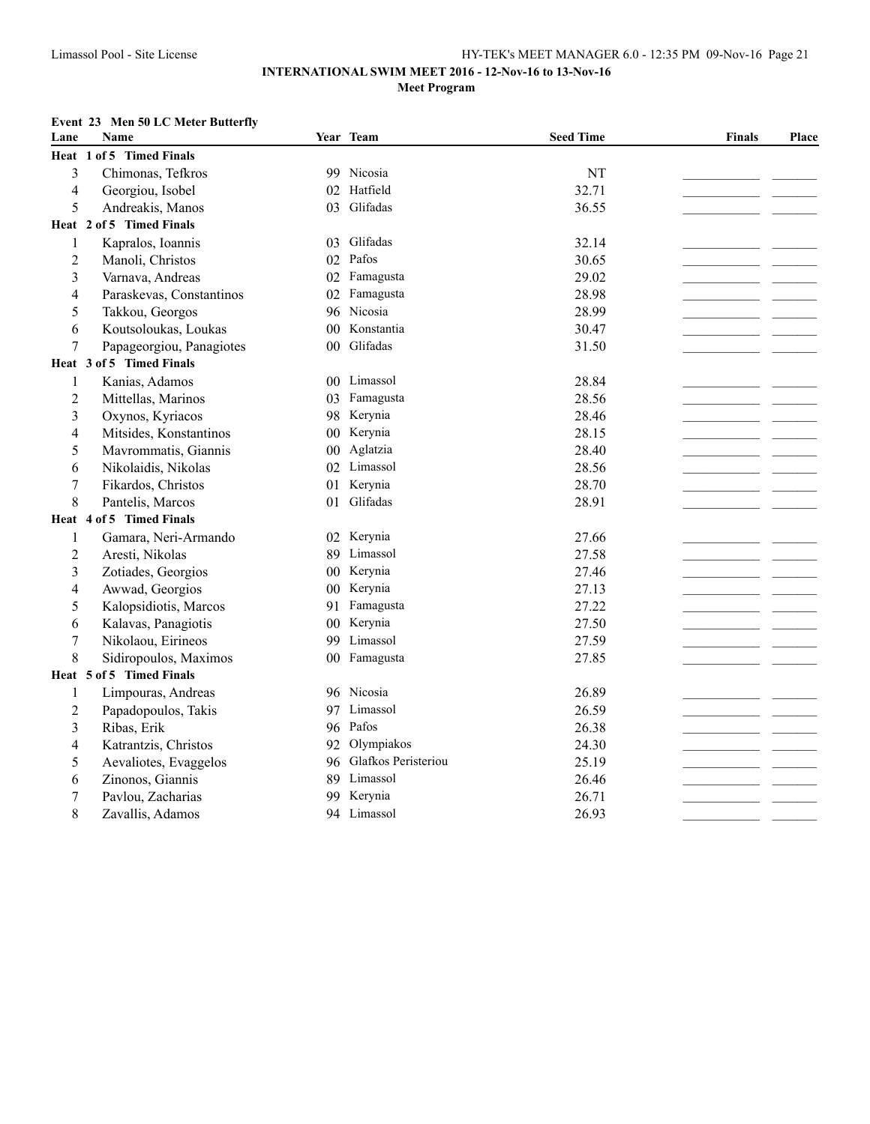### **INTERNATIONAL SWIM MEET 2016 - 12-Nov-16 to 13-Nov-16 Meet Program**

### **Event 23 Men 50 LC Meter Butterfly**

| Lane           | Name                     |    | Year Team              | <b>Seed Time</b> | <b>Finals</b> | Place |
|----------------|--------------------------|----|------------------------|------------------|---------------|-------|
|                | Heat 1 of 5 Timed Finals |    |                        |                  |               |       |
| 3              | Chimonas, Tefkros        |    | 99 Nicosia             | <b>NT</b>        |               |       |
| 4              | Georgiou, Isobel         |    | 02 Hatfield            | 32.71            |               |       |
| 5              | Andreakis, Manos         |    | 03 Glifadas            | 36.55            |               |       |
|                | Heat 2 of 5 Timed Finals |    |                        |                  |               |       |
| 1              | Kapralos, Ioannis        | 03 | Glifadas               | 32.14            |               |       |
| $\overline{c}$ | Manoli, Christos         |    | 02 Pafos               | 30.65            |               |       |
| 3              | Varnava, Andreas         |    | 02 Famagusta           | 29.02            |               |       |
| 4              | Paraskevas, Constantinos | 02 | Famagusta              | 28.98            |               |       |
| 5              | Takkou, Georgos          |    | 96 Nicosia             | 28.99            |               |       |
| 6              | Koutsoloukas, Loukas     |    | 00 Konstantia          | 30.47            |               |       |
| 7              | Papageorgiou, Panagiotes |    | 00 Glifadas            | 31.50            |               |       |
|                | Heat 3 of 5 Timed Finals |    |                        |                  |               |       |
| 1              | Kanias, Adamos           |    | 00 Limassol            | 28.84            |               |       |
| $\overline{c}$ | Mittellas, Marinos       | 03 | Famagusta              | 28.56            |               |       |
| 3              | Oxynos, Kyriacos         |    | 98 Kerynia             | 28.46            |               |       |
| 4              | Mitsides, Konstantinos   |    | 00 Kerynia             | 28.15            |               |       |
| 5              | Mavrommatis, Giannis     |    | 00 Aglatzia            | 28.40            |               |       |
| 6              | Nikolaidis, Nikolas      |    | 02 Limassol            | 28.56            |               |       |
| 7              | Fikardos, Christos       |    | 01 Kerynia             | 28.70            |               |       |
| 8              | Pantelis, Marcos         | 01 | Glifadas               | 28.91            |               |       |
|                | Heat 4 of 5 Timed Finals |    |                        |                  |               |       |
| 1              | Gamara, Neri-Armando     |    | 02 Kerynia             | 27.66            |               |       |
| 2              | Aresti, Nikolas          |    | 89 Limassol            | 27.58            |               |       |
| 3              | Zotiades, Georgios       |    | 00 Kerynia             | 27.46            |               |       |
| 4              | Awwad, Georgios          |    | 00 Kerynia             | 27.13            |               |       |
| 5              | Kalopsidiotis, Marcos    |    | 91 Famagusta           | 27.22            |               |       |
| 6              | Kalavas, Panagiotis      |    | 00 Kerynia             | 27.50            |               |       |
| 7              | Nikolaou, Eirineos       |    | 99 Limassol            | 27.59            |               |       |
| 8              | Sidiropoulos, Maximos    |    | 00 Famagusta           | 27.85            |               |       |
|                | Heat 5 of 5 Timed Finals |    |                        |                  |               |       |
| 1              | Limpouras, Andreas       |    | 96 Nicosia             | 26.89            |               |       |
| 2              | Papadopoulos, Takis      |    | 97 Limassol            | 26.59            |               |       |
| 3              | Ribas, Erik              |    | 96 Pafos               | 26.38            |               |       |
| 4              | Katrantzis, Christos     | 92 | Olympiakos             | 24.30            |               |       |
| 5              | Aevaliotes, Evaggelos    |    | 96 Glafkos Peristeriou | 25.19            |               |       |
| 6              | Zinonos, Giannis         |    | 89 Limassol            | 26.46            |               |       |
| 7              | Pavlou, Zacharias        |    | 99 Kerynia             | 26.71            |               |       |
| 8              | Zavallis, Adamos         |    | 94 Limassol            | 26.93            |               |       |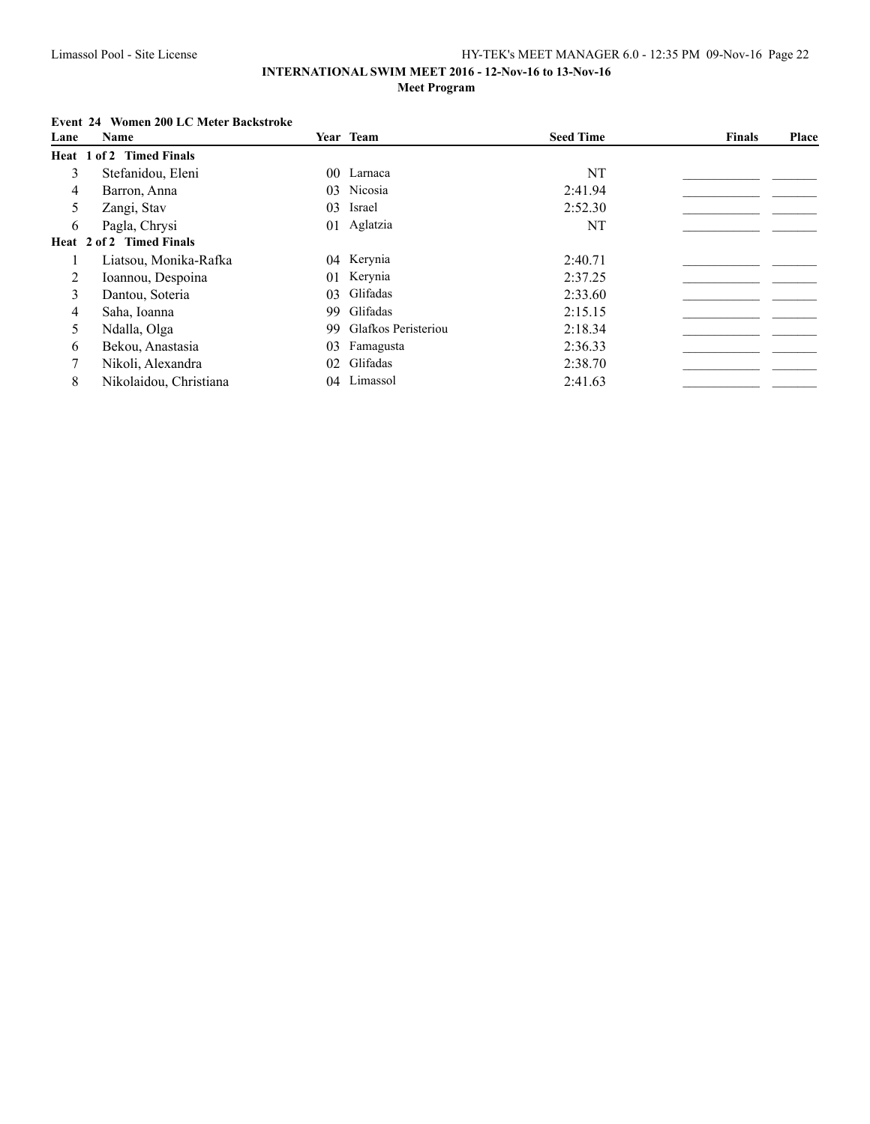### **Event 24 Women 200 LC Meter Backstroke**

| Lane | Name                     |     | Year Team              | <b>Seed Time</b> | <b>Finals</b> | Place |
|------|--------------------------|-----|------------------------|------------------|---------------|-------|
|      | Heat 1 of 2 Timed Finals |     |                        |                  |               |       |
| 3    | Stefanidou, Eleni        |     | 00 Larnaca             | NT               |               |       |
| 4    | Barron, Anna             |     | 03 Nicosia             | 2:41.94          |               |       |
| 5    | Zangi, Stav              | 03  | Israel                 | 2:52.30          |               |       |
| 6    | Pagla, Chrysi            |     | 01 Aglatzia            | NT               |               |       |
|      | Heat 2 of 2 Timed Finals |     |                        |                  |               |       |
|      | Liatsou, Monika-Rafka    |     | 04 Kerynia             | 2:40.71          |               |       |
| 2    | Ioannou, Despoina        |     | 01 Kerynia             | 2:37.25          |               |       |
| 3    | Dantou, Soteria          |     | 03 Glifadas            | 2:33.60          |               |       |
| 4    | Saha, Ioanna             |     | 99 Glifadas            | 2:15.15          |               |       |
| 5    | Ndalla, Olga             |     | 99 Glafkos Peristeriou | 2:18.34          |               |       |
| 6    | Bekou, Anastasia         | 03. | Famagusta              | 2:36.33          |               |       |
|      | Nikoli, Alexandra        |     | 02 Glifadas            | 2:38.70          |               |       |
| 8    | Nikolaidou, Christiana   | 04  | Limassol               | 2:41.63          |               |       |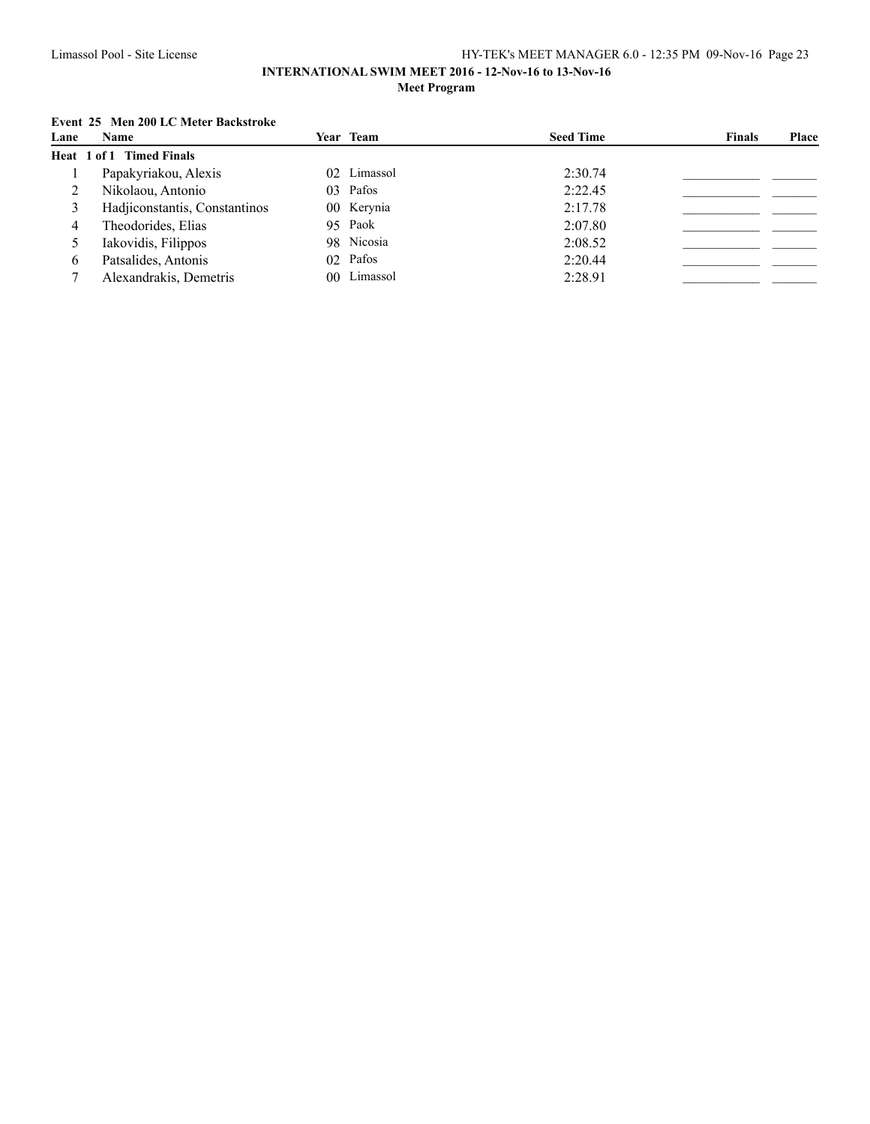### **INTERNATIONAL SWIM MEET 2016 - 12-Nov-16 to 13-Nov-16 Meet Program**

## **Event 25 Men 200 LC Meter Backstroke**

| Lane | Name                            | Year Team   | <b>Seed Time</b> | <b>Finals</b> | Place |
|------|---------------------------------|-------------|------------------|---------------|-------|
|      | <b>Heat 1 of 1 Timed Finals</b> |             |                  |               |       |
|      | Papakyriakou, Alexis            | 02 Limassol | 2:30.74          |               |       |
|      | Nikolaou, Antonio               | 03 Pafos    | 2:22.45          |               |       |
|      | Hadjiconstantis, Constantinos   | 00 Kerynia  | 2:17.78          |               |       |
| 4    | Theodorides, Elias              | 95 Paok     | 2:07.80          |               |       |
|      | Iakovidis, Filippos             | 98 Nicosia  | 2:08.52          |               |       |
| 6    | Patsalides, Antonis             | 02 Pafos    | 2:20.44          |               |       |
|      | Alexandrakis, Demetris          | 00 Limassol | 2:28.91          |               |       |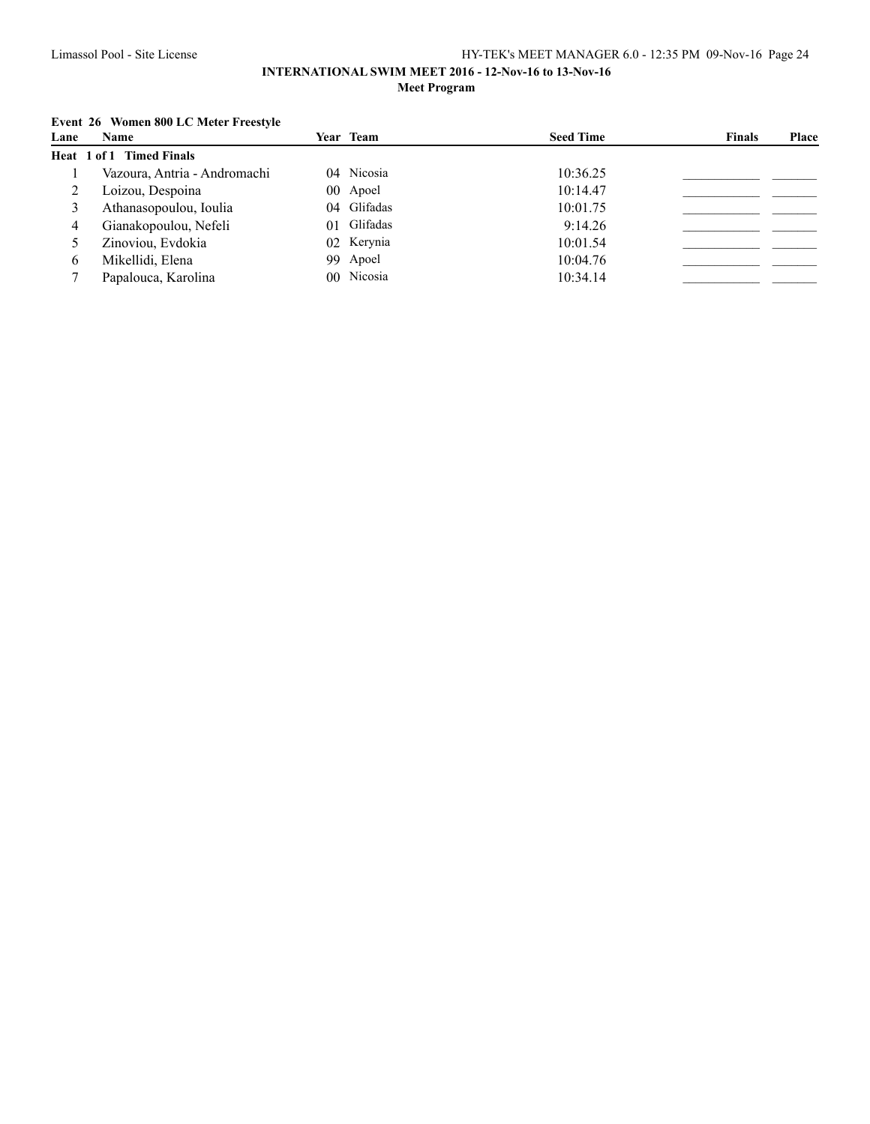### **INTERNATIONAL SWIM MEET 2016 - 12-Nov-16 to 13-Nov-16 Meet Program**

## **Event 26 Women 800 LC Meter Freestyle**

| Lane | Name                         | Year Team |             | <b>Seed Time</b> | <b>Finals</b> | Place |
|------|------------------------------|-----------|-------------|------------------|---------------|-------|
|      | Heat 1 of 1 Timed Finals     |           |             |                  |               |       |
|      | Vazoura, Antria - Andromachi |           | 04 Nicosia  | 10:36.25         |               |       |
|      | Loizou, Despoina             |           | 00 Apoel    | 10:14.47         |               |       |
|      | Athanasopoulou, Ioulia       |           | 04 Glifadas | 10:01.75         |               |       |
|      | Gianakopoulou, Nefeli        |           | 01 Glifadas | 9:14.26          |               |       |
|      | Zinoviou, Evdokia            |           | 02 Kerynia  | 10:01.54         |               |       |
| 0    | Mikellidi, Elena             |           | 99 Apoel    | 10:04.76         |               |       |
|      | Papalouca, Karolina          |           | 00 Nicosia  | 10:34.14         |               |       |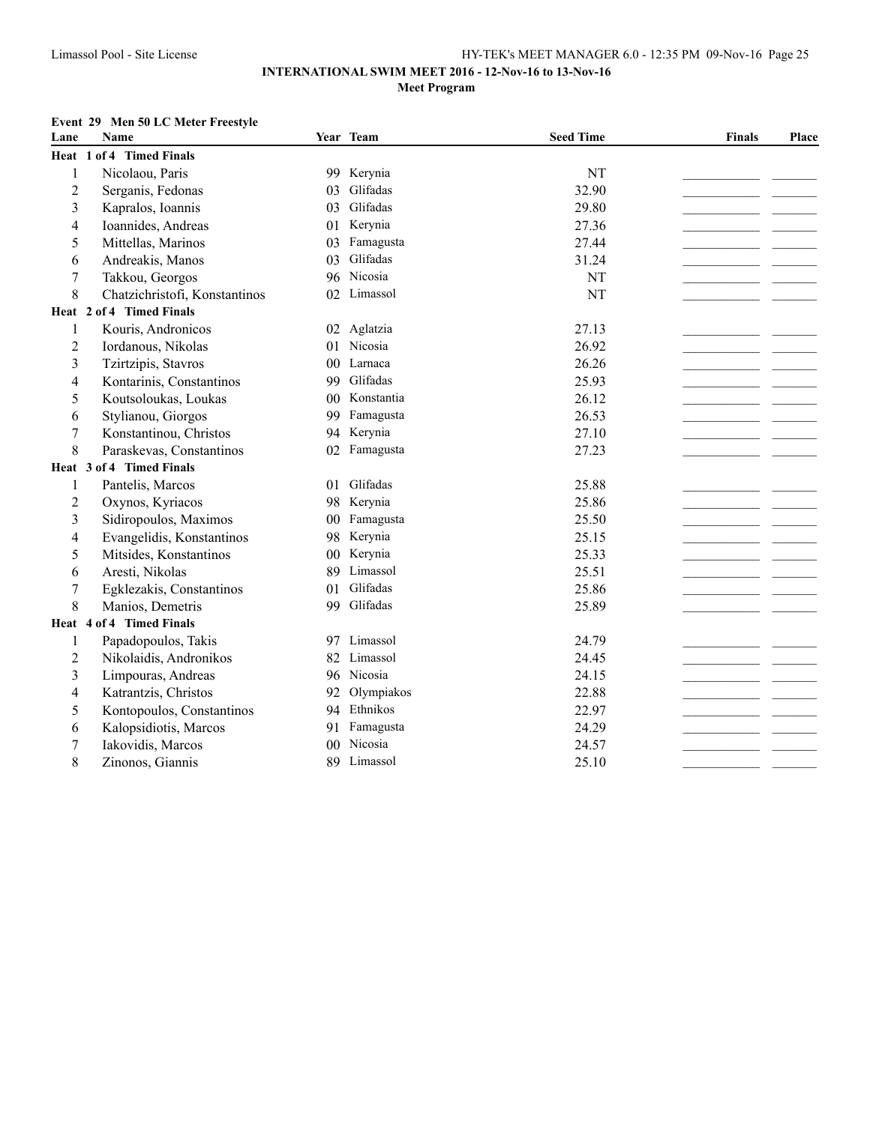### **Event 29 Men 50 LC Meter Freestyle**

| Lane                    | <b>Name</b>                   |                 | Year Team     | <b>Seed Time</b> | <b>Finals</b> | Place |
|-------------------------|-------------------------------|-----------------|---------------|------------------|---------------|-------|
|                         | Heat 1 of 4 Timed Finals      |                 |               |                  |               |       |
| $\,1$                   | Nicolaou, Paris               |                 | 99 Kerynia    | NT               |               |       |
| $\overline{c}$          | Serganis, Fedonas             | 03              | Glifadas      | 32.90            |               |       |
| 3                       | Kapralos, Ioannis             | 03              | Glifadas      | 29.80            |               |       |
| 4                       | Ioannides, Andreas            |                 | 01 Kerynia    | 27.36            |               |       |
| 5                       | Mittellas, Marinos            | 03              | Famagusta     | 27.44            |               |       |
| 6                       | Andreakis, Manos              | 03              | Glifadas      | 31.24            |               |       |
| $\boldsymbol{7}$        | Takkou, Georgos               |                 | 96 Nicosia    | NT               |               |       |
| 8                       | Chatzichristofi, Konstantinos | 02              | Limassol      | NT               |               |       |
|                         | Heat 2 of 4 Timed Finals      |                 |               |                  |               |       |
| 1                       | Kouris, Andronicos            |                 | 02 Aglatzia   | 27.13            |               |       |
| $\overline{c}$          | Iordanous, Nikolas            | 01              | Nicosia       | 26.92            |               |       |
| 3                       | Tzirtzipis, Stavros           | 00 <sup>1</sup> | Larnaca       | 26.26            |               |       |
| 4                       | Kontarinis, Constantinos      | 99              | Glifadas      | 25.93            |               |       |
| 5                       | Koutsoloukas, Loukas          |                 | 00 Konstantia | 26.12            |               |       |
| 6                       | Stylianou, Giorgos            | 99              | Famagusta     | 26.53            |               |       |
| $\boldsymbol{7}$        | Konstantinou, Christos        |                 | 94 Kerynia    | 27.10            |               |       |
| 8                       | Paraskevas, Constantinos      | 02              | Famagusta     | 27.23            |               |       |
|                         | Heat 3 of 4 Timed Finals      |                 |               |                  |               |       |
| 1                       | Pantelis, Marcos              | 01              | Glifadas      | 25.88            |               |       |
| $\overline{2}$          | Oxynos, Kyriacos              | 98              | Kerynia       | 25.86            |               |       |
| $\overline{\mathbf{3}}$ | Sidiropoulos, Maximos         |                 | 00 Famagusta  | 25.50            |               |       |
| 4                       | Evangelidis, Konstantinos     | 98              | Kerynia       | 25.15            |               |       |
| 5                       | Mitsides, Konstantinos        | 0 <sub>0</sub>  | Kerynia       | 25.33            |               |       |
| 6                       | Aresti, Nikolas               | 89              | Limassol      | 25.51            |               |       |
| 7                       | Egklezakis, Constantinos      | 01              | Glifadas      | 25.86            |               |       |
| 8                       | Manios, Demetris              | 99              | Glifadas      | 25.89            |               |       |
|                         | Heat 4 of 4 Timed Finals      |                 |               |                  |               |       |
| 1                       | Papadopoulos, Takis           |                 | 97 Limassol   | 24.79            |               |       |
| $\overline{2}$          | Nikolaidis, Andronikos        | 82              | Limassol      | 24.45            |               |       |
| 3                       | Limpouras, Andreas            |                 | 96 Nicosia    | 24.15            |               |       |
| $\overline{4}$          | Katrantzis, Christos          | 92              | Olympiakos    | 22.88            |               |       |
| 5                       | Kontopoulos, Constantinos     |                 | 94 Ethnikos   | 22.97            |               |       |
| 6                       | Kalopsidiotis, Marcos         |                 | 91 Famagusta  | 24.29            |               |       |
| 7                       | Iakovidis, Marcos             | 00 <sup>°</sup> | Nicosia       | 24.57            |               |       |
| 8                       | Zinonos, Giannis              |                 | 89 Limassol   | 25.10            |               |       |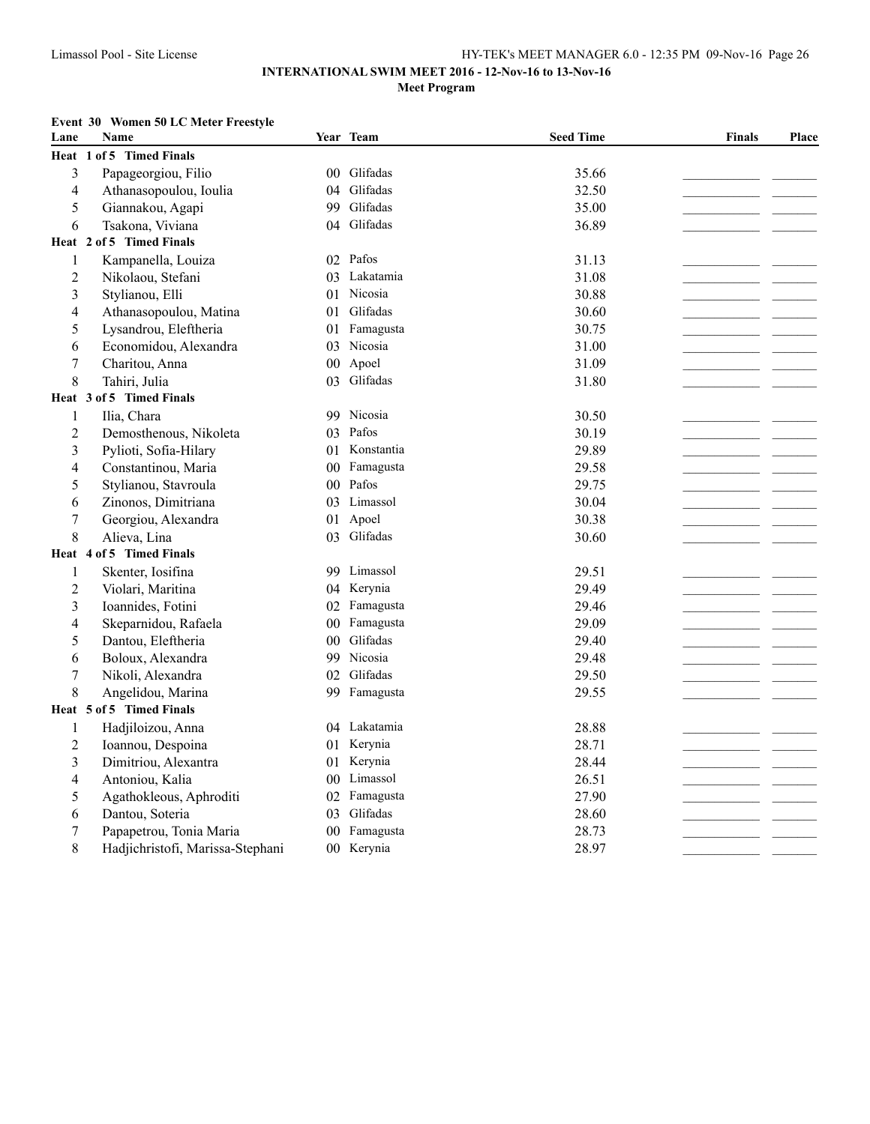### **Event 30 Women 50 LC Meter Freestyle**

| Lane             | Name                              |                | Year Team     | <b>Seed Time</b> | <b>Finals</b> | Place |
|------------------|-----------------------------------|----------------|---------------|------------------|---------------|-------|
| Heat             | of 5 Timed Finals<br>$\mathbf{1}$ |                |               |                  |               |       |
| 3                | Papageorgiou, Filio               |                | 00 Glifadas   | 35.66            |               |       |
| 4                | Athanasopoulou, Ioulia            |                | 04 Glifadas   | 32.50            |               |       |
| 5                | Giannakou, Agapi                  | 99             | Glifadas      | 35.00            |               |       |
| 6                | Tsakona, Viviana                  |                | 04 Glifadas   | 36.89            |               |       |
|                  | Heat 2 of 5 Timed Finals          |                |               |                  |               |       |
| 1                | Kampanella, Louiza                |                | 02 Pafos      | 31.13            |               |       |
| 2                | Nikolaou, Stefani                 |                | 03 Lakatamia  | 31.08            |               |       |
| 3                | Stylianou, Elli                   | 01             | Nicosia       | 30.88            |               |       |
| 4                | Athanasopoulou, Matina            |                | 01 Glifadas   | 30.60            |               |       |
| 5                | Lysandrou, Eleftheria             |                | 01 Famagusta  | 30.75            |               |       |
| 6                | Economidou, Alexandra             |                | 03 Nicosia    | 31.00            |               |       |
| $\boldsymbol{7}$ | Charitou, Anna                    | $00\,$         | Apoel         | 31.09            |               |       |
| 8                | Tahiri, Julia                     | 03             | Glifadas      | 31.80            |               |       |
|                  | Heat 3 of 5 Timed Finals          |                |               |                  |               |       |
| 1                | Ilia, Chara                       |                | 99 Nicosia    | 30.50            |               |       |
| 2                | Demosthenous, Nikoleta            |                | 03 Pafos      | 30.19            |               |       |
| 3                | Pylioti, Sofia-Hilary             |                | 01 Konstantia | 29.89            |               |       |
| 4                | Constantinou, Maria               |                | 00 Famagusta  | 29.58            |               |       |
| 5                | Stylianou, Stavroula              |                | 00 Pafos      | 29.75            |               |       |
| 6                | Zinonos, Dimitriana               |                | 03 Limassol   | 30.04            |               |       |
| $\boldsymbol{7}$ | Georgiou, Alexandra               | 01             | Apoel         | 30.38            |               |       |
| 8                | Alieva, Lina                      |                | 03 Glifadas   | 30.60            |               |       |
|                  | Heat 4 of 5 Timed Finals          |                |               |                  |               |       |
| 1                | Skenter, Iosifina                 |                | 99 Limassol   | 29.51            |               |       |
| 2                | Violari, Maritina                 |                | 04 Kerynia    | 29.49            |               |       |
| 3                | Ioannides, Fotini                 |                | 02 Famagusta  | 29.46            |               |       |
| 4                | Skeparnidou, Rafaela              | 0 <sub>0</sub> | Famagusta     | 29.09            |               |       |
| 5                | Dantou, Eleftheria                |                | 00 Glifadas   | 29.40            |               |       |
| 6                | Boloux, Alexandra                 |                | 99 Nicosia    | 29.48            |               |       |
| $\boldsymbol{7}$ | Nikoli, Alexandra                 |                | 02 Glifadas   | 29.50            |               |       |
| 8                | Angelidou, Marina                 |                | 99 Famagusta  | 29.55            |               |       |
|                  | Heat 5 of 5 Timed Finals          |                |               |                  |               |       |
| 1                | Hadjiloizou, Anna                 |                | 04 Lakatamia  | 28.88            |               |       |
| 2                | Ioannou, Despoina                 |                | 01 Kerynia    | 28.71            |               |       |
| 3                | Dimitriou, Alexantra              |                | 01 Kerynia    | 28.44            |               |       |
| 4                | Antoniou, Kalia                   |                | 00 Limassol   | 26.51            |               |       |
| 5                | Agathokleous, Aphroditi           |                | 02 Famagusta  | 27.90            |               |       |
| 6                | Dantou, Soteria                   | 03             | Glifadas      | 28.60            |               |       |
| $\boldsymbol{7}$ | Papapetrou, Tonia Maria           | $00\,$         | Famagusta     | 28.73            |               |       |
| 8                | Hadjichristofi, Marissa-Stephani  |                | 00 Kerynia    | 28.97            |               |       |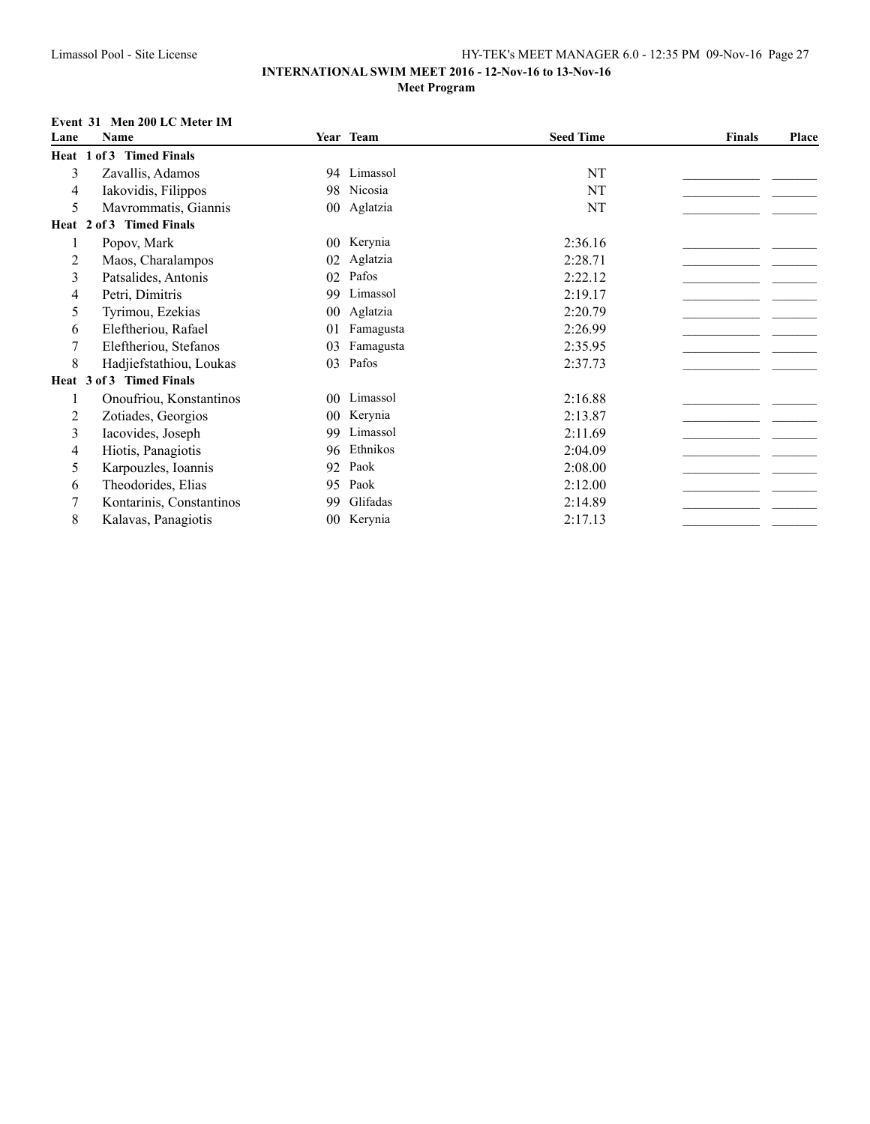### **INTERNATIONAL SWIM MEET 2016 - 12-Nov-16 to 13-Nov-16 Meet Program**

### **Event 31 Men 200 LC Meter IM**

| Lane | Name                     |                 | Year Team   | <b>Seed Time</b> | <b>Finals</b> | Place |
|------|--------------------------|-----------------|-------------|------------------|---------------|-------|
|      | Heat 1 of 3 Timed Finals |                 |             |                  |               |       |
| 3    | Zavallis, Adamos         |                 | 94 Limassol | NT               |               |       |
| 4    | Iakovidis, Filippos      |                 | 98 Nicosia  | NT               |               |       |
| 5    | Mavrommatis, Giannis     |                 | 00 Aglatzia | NT               |               |       |
|      | Heat 2 of 3 Timed Finals |                 |             |                  |               |       |
|      | Popov, Mark              | 00 <sup>1</sup> | Kerynia     | 2:36.16          |               |       |
| 2    | Maos, Charalampos        | 02              | Aglatzia    | 2:28.71          |               |       |
| 3    | Patsalides, Antonis      | 02              | Pafos       | 2:22.12          |               |       |
| 4    | Petri, Dimitris          | 99              | Limassol    | 2:19.17          |               |       |
| 5    | Tyrimou, Ezekias         | $00\,$          | Aglatzia    | 2:20.79          |               |       |
| 6    | Eleftheriou, Rafael      | 01              | Famagusta   | 2:26.99          |               |       |
|      | Eleftheriou, Stefanos    | 03              | Famagusta   | 2:35.95          |               |       |
| 8    | Hadjiefstathiou, Loukas  | 03              | Pafos       | 2:37.73          |               |       |
|      | Heat 3 of 3 Timed Finals |                 |             |                  |               |       |
|      | Onoufriou, Konstantinos  | 00 <sup>°</sup> | Limassol    | 2:16.88          |               |       |
| 2    | Zotiades, Georgios       | 00 <sup>1</sup> | Kerynia     | 2:13.87          |               |       |
| 3    | Iacovides, Joseph        | 99              | Limassol    | 2:11.69          |               |       |
| 4    | Hiotis, Panagiotis       | 96              | Ethnikos    | 2:04.09          |               |       |
| 5    | Karpouzles, Ioannis      | 92              | Paok        | 2:08.00          |               |       |
| 6    | Theodorides, Elias       | 95              | Paok        | 2:12.00          |               |       |
|      | Kontarinis, Constantinos | 99              | Glifadas    | 2:14.89          |               |       |
| 8    | Kalavas, Panagiotis      | $00\,$          | Kerynia     | 2:17.13          |               |       |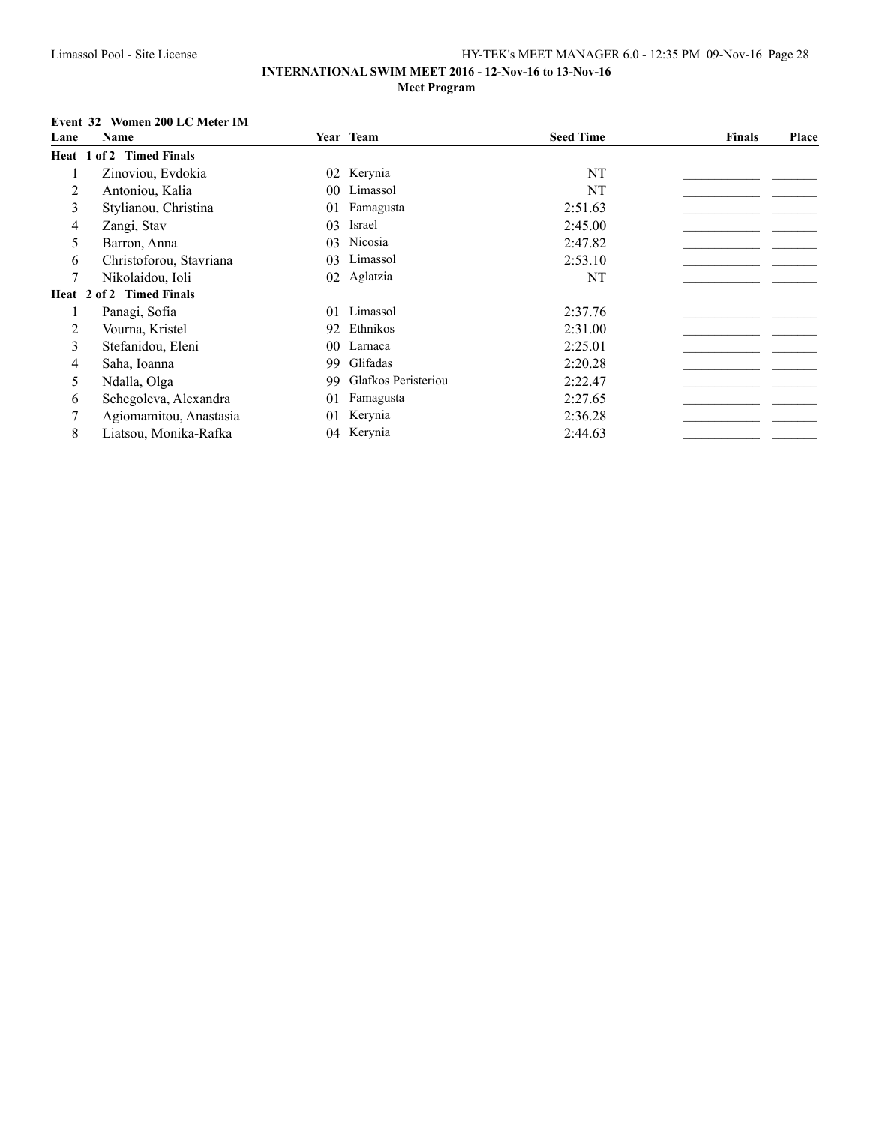## **Event 32 Women 200 LC Meter IM**

| Lane | Name                     |                 | Year Team           | <b>Seed Time</b> | <b>Finals</b> | <b>Place</b> |
|------|--------------------------|-----------------|---------------------|------------------|---------------|--------------|
|      | Heat 1 of 2 Timed Finals |                 |                     |                  |               |              |
|      | Zinoviou, Evdokia        |                 | 02 Kerynia          | NT               |               |              |
| 2    | Antoniou, Kalia          |                 | 00 Limassol         | NT               |               |              |
| 3    | Stylianou, Christina     | 01              | Famagusta           | 2:51.63          |               |              |
| 4    | Zangi, Stav              | 03              | Israel              | 2:45.00          |               |              |
| 5    | Barron, Anna             | 03              | Nicosia             | 2:47.82          |               |              |
| 6    | Christoforou, Stavriana  | 03              | Limassol            | 2:53.10          |               |              |
| 7    | Nikolaidou, Ioli         |                 | 02 Aglatzia         | NT               |               |              |
|      | Heat 2 of 2 Timed Finals |                 |                     |                  |               |              |
|      | Panagi, Sofia            |                 | 01 Limassol         | 2:37.76          |               |              |
| 2    | Vourna, Kristel          |                 | 92 Ethnikos         | 2:31.00          |               |              |
| 3    | Stefanidou, Eleni        | 00 <sup>1</sup> | Larnaca             | 2:25.01          |               |              |
| 4    | Saha, Ioanna             | 99              | Glifadas            | 2:20.28          |               |              |
| 5    | Ndalla, Olga             | 99              | Glafkos Peristeriou | 2:22.47          |               |              |
| 6    | Schegoleva, Alexandra    | 01              | Famagusta           | 2:27.65          |               |              |
|      | Agiomamitou, Anastasia   | 01              | Kerynia             | 2:36.28          |               |              |
| 8    | Liatsou, Monika-Rafka    |                 | 04 Kerynia          | 2:44.63          |               |              |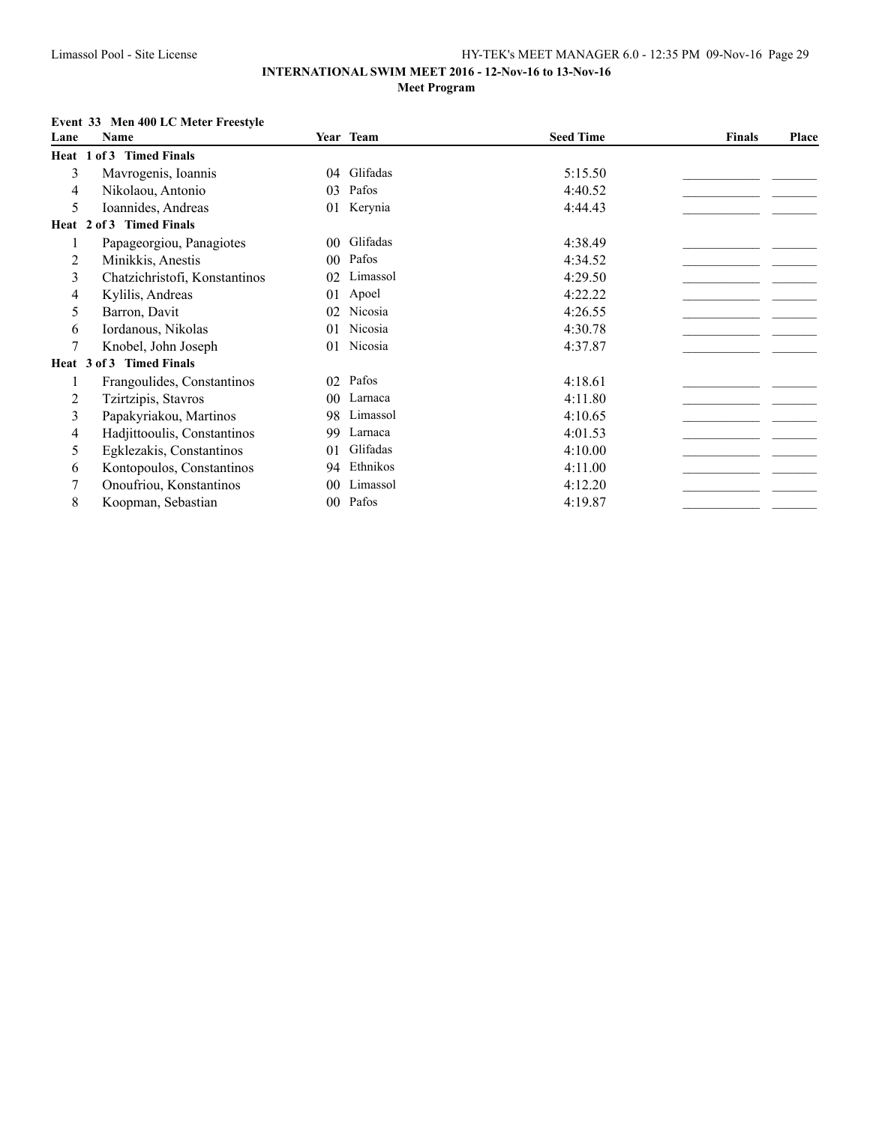### **Event 33 Men 400 LC Meter Freestyle**

| Lane | <b>Name</b>                        |                 | Year Team | <b>Seed Time</b> | <b>Finals</b> | <b>Place</b> |
|------|------------------------------------|-----------------|-----------|------------------|---------------|--------------|
|      | Heat 1 of 3 Timed Finals           |                 |           |                  |               |              |
| 3    | Mavrogenis, Ioannis                | 04              | Glifadas  | 5:15.50          |               |              |
| 4    | Nikolaou, Antonio                  | 03              | Pafos     | 4:40.52          |               |              |
| 5    | Ioannides, Andreas                 | 01              | Kerynia   | 4:44.43          |               |              |
|      | <b>Timed Finals</b><br>Heat 2 of 3 |                 |           |                  |               |              |
|      | Papageorgiou, Panagiotes           | $00\,$          | Glifadas  | 4:38.49          |               |              |
| 2    | Minikkis, Anestis                  | 00 <sup>°</sup> | Pafos     | 4:34.52          |               |              |
| 3    | Chatzichristofi, Konstantinos      | 02              | Limassol  | 4:29.50          |               |              |
| 4    | Kylilis, Andreas                   | 01              | Apoel     | 4:22.22          |               |              |
| 5    | Barron, Davit                      | 02              | Nicosia   | 4:26.55          |               |              |
| 6    | Iordanous, Nikolas                 | 01              | Nicosia   | 4:30.78          |               |              |
| 7    | Knobel, John Joseph                | 01              | Nicosia   | 4:37.87          |               |              |
|      | Heat 3 of 3 Timed Finals           |                 |           |                  |               |              |
|      | Frangoulides, Constantinos         | 02              | Pafos     | 4:18.61          |               |              |
| 2    | Tzirtzipis, Stavros                | 00 <sup>1</sup> | Larnaca   | 4:11.80          |               |              |
| 3    | Papakyriakou, Martinos             | 98              | Limassol  | 4:10.65          |               |              |
| 4    | Hadjittooulis, Constantinos        | 99              | Larnaca   | 4:01.53          |               |              |
| 5    | Egklezakis, Constantinos           | 01              | Glifadas  | 4:10.00          |               |              |
| 6    | Kontopoulos, Constantinos          | 94              | Ethnikos  | 4:11.00          |               |              |
|      | Onoufriou, Konstantinos            | $00\,$          | Limassol  | 4:12.20          |               |              |
| 8    | Koopman, Sebastian                 | 00 <sup>°</sup> | Pafos     | 4:19.87          |               |              |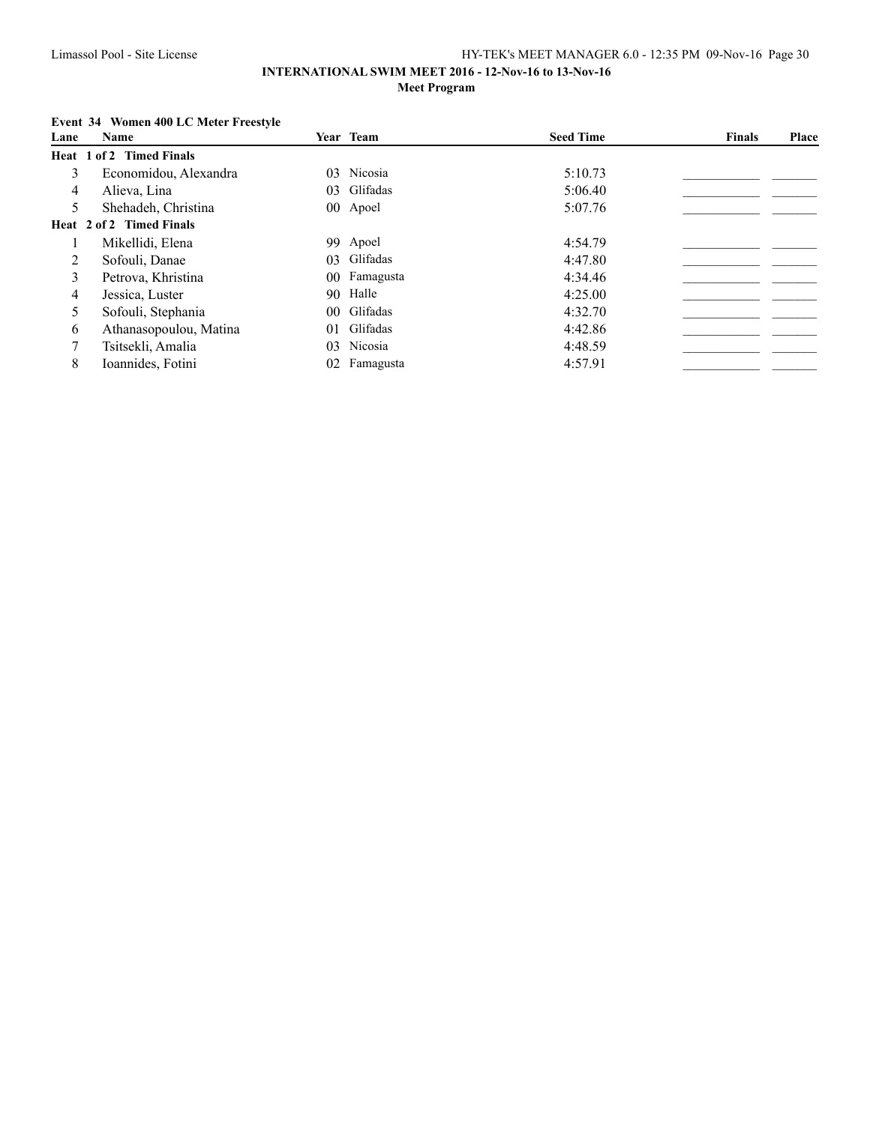### **INTERNATIONAL SWIM MEET 2016 - 12-Nov-16 to 13-Nov-16 Meet Program**

## **Event 34 Women 400 LC Meter Freestyle**

| Lane | Name                     |                 | Year Team    | <b>Seed Time</b> | <b>Finals</b> | Place |
|------|--------------------------|-----------------|--------------|------------------|---------------|-------|
|      | Heat 1 of 2 Timed Finals |                 |              |                  |               |       |
| 3    | Economidou, Alexandra    | 03.             | Nicosia      | 5:10.73          |               |       |
| 4    | Alieva, Lina             |                 | 03 Glifadas  | 5:06.40          |               |       |
| 5    | Shehadeh, Christina      |                 | 00 Apoel     | 5:07.76          |               |       |
|      | Heat 2 of 2 Timed Finals |                 |              |                  |               |       |
|      | Mikellidi, Elena         |                 | 99 Apoel     | 4:54.79          |               |       |
| 2    | Sofouli, Danae           |                 | 03 Glifadas  | 4:47.80          |               |       |
| 3    | Petrova, Khristina       |                 | 00 Famagusta | 4:34.46          |               |       |
| 4    | Jessica, Luster          |                 | 90 Halle     | 4:25.00          |               |       |
| 5    | Sofouli, Stephania       |                 | 00 Glifadas  | 4:32.70          |               |       |
| 6    | Athanasopoulou, Matina   | 01              | Glifadas     | 4:42.86          |               |       |
|      | Tsitsekli, Amalia        | 03              | Nicosia      | 4:48.59          |               |       |
| 8    | Ioannides, Fotini        | 02 <sup>2</sup> | Famagusta    | 4:57.91          |               |       |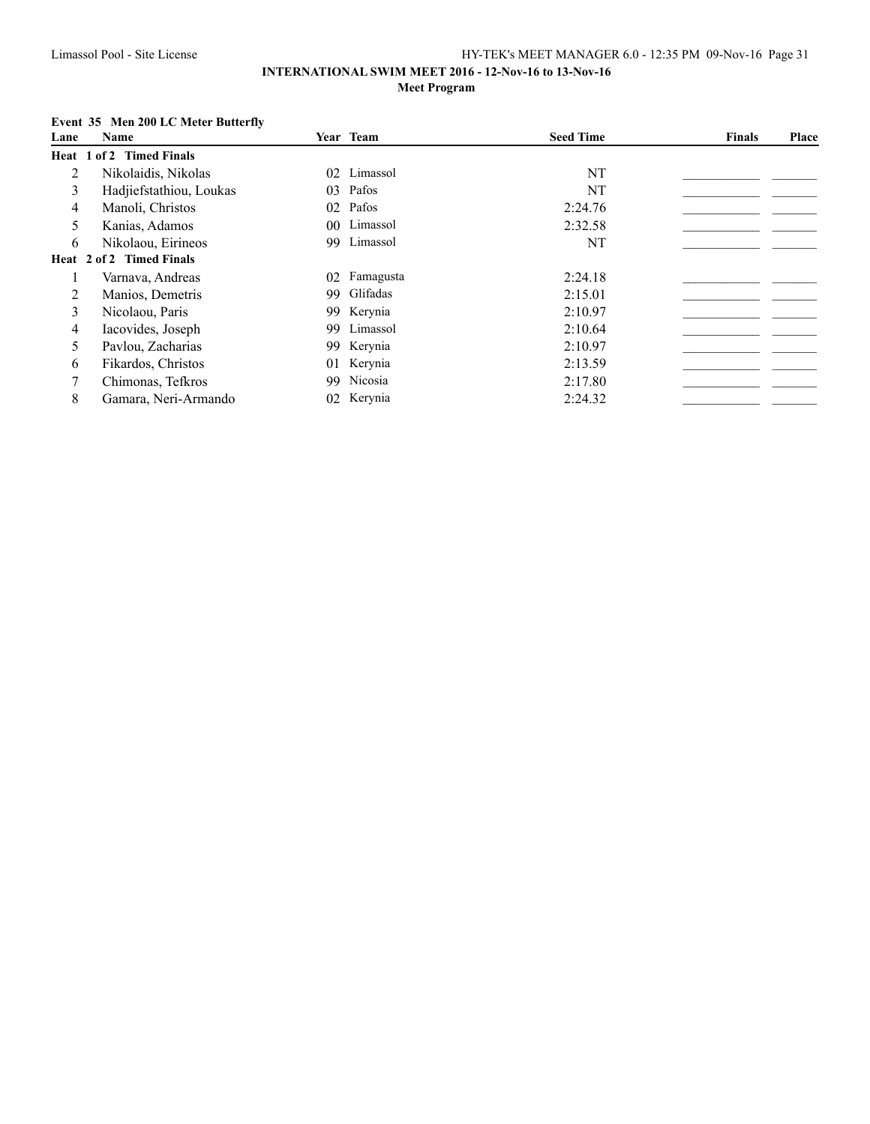### **INTERNATIONAL SWIM MEET 2016 - 12-Nov-16 to 13-Nov-16 Meet Program**

## **Event 35 Men 200 LC Meter Butterfly**

| Lane | Name                     |     | Year Team    | <b>Seed Time</b> | <b>Finals</b> | Place |
|------|--------------------------|-----|--------------|------------------|---------------|-------|
|      | Heat 1 of 2 Timed Finals |     |              |                  |               |       |
| 2    | Nikolaidis, Nikolas      |     | 02 Limassol  | NT               |               |       |
| 3    | Hadjiefstathiou, Loukas  |     | 03 Pafos     | NT               |               |       |
| 4    | Manoli, Christos         |     | 02 Pafos     | 2:24.76          |               |       |
| 5    | Kanias, Adamos           |     | 00 Limassol  | 2:32.58          |               |       |
| 6    | Nikolaou, Eirineos       | 99. | Limassol     | NT               |               |       |
|      | Heat 2 of 2 Timed Finals |     |              |                  |               |       |
|      | Varnava, Andreas         |     | 02 Famagusta | 2:24.18          |               |       |
| 2    | Manios, Demetris         |     | 99 Glifadas  | 2:15.01          |               |       |
| 3    | Nicolaou, Paris          |     | 99 Kerynia   | 2:10.97          |               |       |
| 4    | Iacovides, Joseph        |     | 99 Limassol  | 2:10.64          |               |       |
| 5    | Pavlou, Zacharias        |     | 99 Kerynia   | 2:10.97          |               |       |
| 6    | Fikardos, Christos       |     | 01 Kerynia   | 2:13.59          |               |       |
|      | Chimonas, Tefkros        |     | 99 Nicosia   | 2:17.80          |               |       |
| 8    | Gamara, Neri-Armando     |     | 02 Kerynia   | 2:24.32          |               |       |